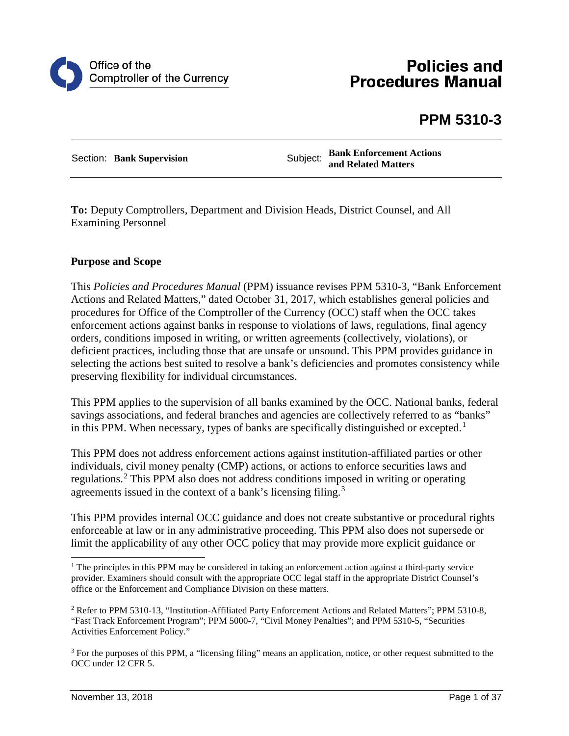

# **Policies and Procedures Manual**

# **PPM 5310-3**

Section: **Bank Supervision**<br>Subject: **Bank Enforcement Actions and Related Matters**

**To:** Deputy Comptrollers, Department and Division Heads, District Counsel, and All Examining Personnel

#### **Purpose and Scope**

This *Policies and Procedures Manual* (PPM) issuance revises PPM 5310-3, "Bank Enforcement Actions and Related Matters," dated October 31, 2017, which establishes general policies and procedures for Office of the Comptroller of the Currency (OCC) staff when the OCC takes enforcement actions against banks in response to violations of laws, regulations, final agency orders, conditions imposed in writing, or written agreements (collectively, violations), or deficient practices, including those that are unsafe or unsound. This PPM provides guidance in selecting the actions best suited to resolve a bank's deficiencies and promotes consistency while preserving flexibility for individual circumstances.

This PPM applies to the supervision of all banks examined by the OCC. National banks, federal savings associations, and federal branches and agencies are collectively referred to as "banks" in this PPM. When necessary, types of banks are specifically distinguished or excepted.<sup>[1](#page-0-0)</sup>

This PPM does not address enforcement actions against institution-affiliated parties or other individuals, civil money penalty (CMP) actions, or actions to enforce securities laws and regulations.[2](#page-0-1) This PPM also does not address conditions imposed in writing or operating agreements issued in the context of a bank's licensing filing.[3](#page-0-2)

This PPM provides internal OCC guidance and does not create substantive or procedural rights enforceable at law or in any administrative proceeding. This PPM also does not supersede or limit the applicability of any other OCC policy that may provide more explicit guidance or

<span id="page-0-0"></span><sup>&</sup>lt;sup>1</sup> The principles in this PPM may be considered in taking an enforcement action against a third-party service provider. Examiners should consult with the appropriate OCC legal staff in the appropriate District Counsel's office or the Enforcement and Compliance Division on these matters.

<span id="page-0-1"></span><sup>2</sup> Refer to PPM 5310-13, "Institution-Affiliated Party Enforcement Actions and Related Matters"; PPM 5310-8, "Fast Track Enforcement Program"; PPM 5000-7, "Civil Money Penalties"; and PPM 5310-5, "Securities Activities Enforcement Policy."

<span id="page-0-2"></span><sup>3</sup> For the purposes of this PPM, a "licensing filing" means an application, notice, or other request submitted to the OCC under 12 CFR 5.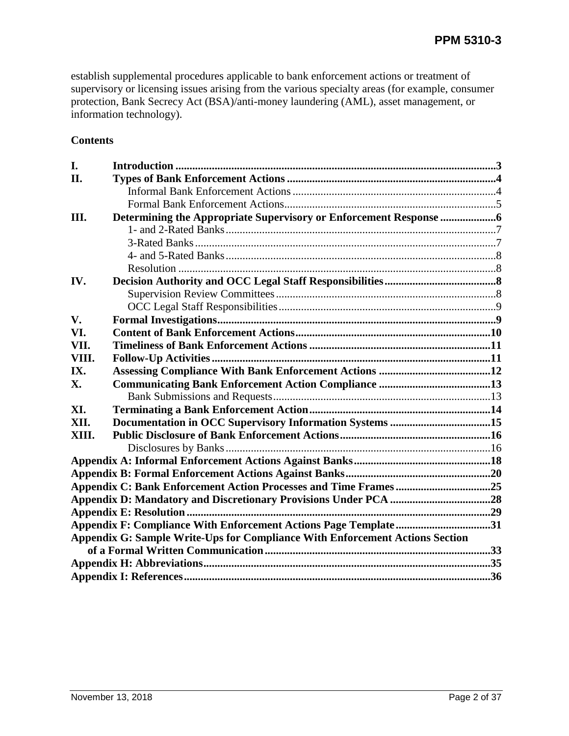establish supplemental procedures applicable to bank enforcement actions or treatment of supervisory or licensing issues arising from the various specialty areas (for example, consumer protection, Bank Secrecy Act (BSA)/anti-money laundering (AML), asset management, or information technology).

## **Contents**

| I.    |                                                                                     |  |
|-------|-------------------------------------------------------------------------------------|--|
| II.   |                                                                                     |  |
|       |                                                                                     |  |
|       |                                                                                     |  |
| III.  |                                                                                     |  |
|       |                                                                                     |  |
|       |                                                                                     |  |
|       |                                                                                     |  |
|       |                                                                                     |  |
| IV.   |                                                                                     |  |
|       |                                                                                     |  |
|       |                                                                                     |  |
| V.    |                                                                                     |  |
| VI.   |                                                                                     |  |
| VII.  |                                                                                     |  |
| VIII. |                                                                                     |  |
| IX.   |                                                                                     |  |
| X.    |                                                                                     |  |
|       |                                                                                     |  |
| XI.   |                                                                                     |  |
| XII.  |                                                                                     |  |
| XIII. |                                                                                     |  |
|       |                                                                                     |  |
|       |                                                                                     |  |
|       |                                                                                     |  |
|       | Appendix C: Bank Enforcement Action Processes and Time Frames25                     |  |
|       |                                                                                     |  |
|       |                                                                                     |  |
|       | Appendix F: Compliance With Enforcement Actions Page Template31                     |  |
|       | <b>Appendix G: Sample Write-Ups for Compliance With Enforcement Actions Section</b> |  |
|       |                                                                                     |  |
|       |                                                                                     |  |
|       |                                                                                     |  |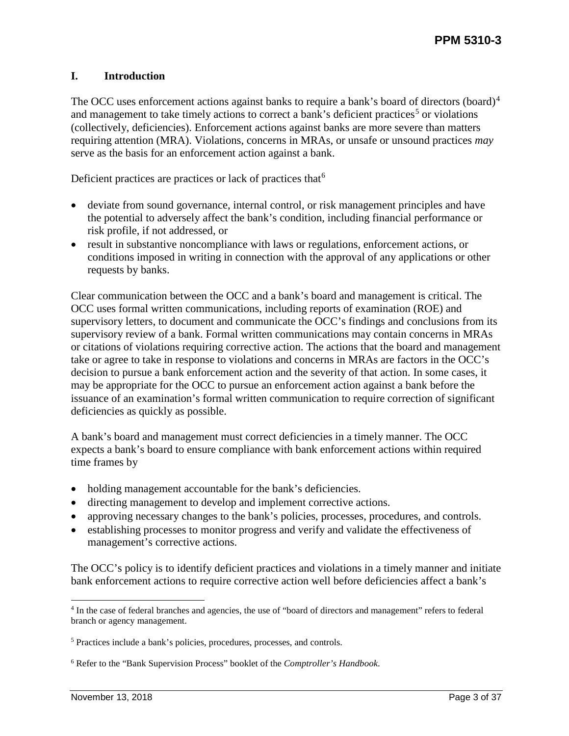## <span id="page-2-0"></span>**I. Introduction**

The OCC uses enforcement actions against banks to require a bank's board of directors (board)<sup>[4](#page-2-1)</sup> and management to take timely actions to correct a bank's deficient practices<sup>[5](#page-2-2)</sup> or violations (collectively, deficiencies). Enforcement actions against banks are more severe than matters requiring attention (MRA). Violations, concerns in MRAs, or unsafe or unsound practices *may*  serve as the basis for an enforcement action against a bank.

Deficient practices are practices or lack of practices that  $6$ 

- deviate from sound governance, internal control, or risk management principles and have the potential to adversely affect the bank's condition, including financial performance or risk profile, if not addressed, or
- result in substantive noncompliance with laws or regulations, enforcement actions, or conditions imposed in writing in connection with the approval of any applications or other requests by banks.

Clear communication between the OCC and a bank's board and management is critical. The OCC uses formal written communications, including reports of examination (ROE) and supervisory letters, to document and communicate the OCC's findings and conclusions from its supervisory review of a bank. Formal written communications may contain concerns in MRAs or citations of violations requiring corrective action. The actions that the board and management take or agree to take in response to violations and concerns in MRAs are factors in the OCC's decision to pursue a bank enforcement action and the severity of that action. In some cases, it may be appropriate for the OCC to pursue an enforcement action against a bank before the issuance of an examination's formal written communication to require correction of significant deficiencies as quickly as possible.

A bank's board and management must correct deficiencies in a timely manner. The OCC expects a bank's board to ensure compliance with bank enforcement actions within required time frames by

- holding management accountable for the bank's deficiencies.
- directing management to develop and implement corrective actions.
- approving necessary changes to the bank's policies, processes, procedures, and controls.
- establishing processes to monitor progress and verify and validate the effectiveness of management's corrective actions.

The OCC's policy is to identify deficient practices and violations in a timely manner and initiate bank enforcement actions to require corrective action well before deficiencies affect a bank's

<span id="page-2-1"></span> <sup>4</sup> In the case of federal branches and agencies, the use of "board of directors and management" refers to federal branch or agency management.

<span id="page-2-2"></span><sup>5</sup> Practices include a bank's policies, procedures, processes, and controls.

<span id="page-2-3"></span><sup>6</sup> Refer to the "Bank Supervision Process" booklet of the *Comptroller's Handbook*.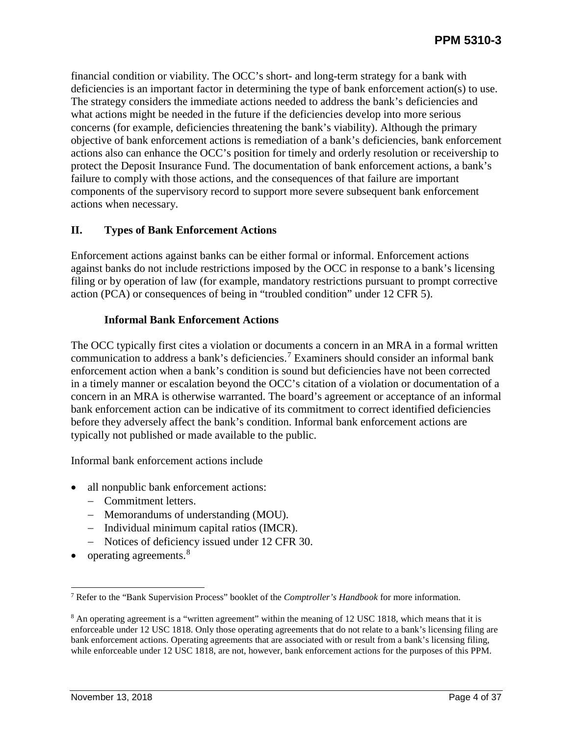financial condition or viability. The OCC's short- and long-term strategy for a bank with deficiencies is an important factor in determining the type of bank enforcement action(s) to use. The strategy considers the immediate actions needed to address the bank's deficiencies and what actions might be needed in the future if the deficiencies develop into more serious concerns (for example, deficiencies threatening the bank's viability). Although the primary objective of bank enforcement actions is remediation of a bank's deficiencies, bank enforcement actions also can enhance the OCC's position for timely and orderly resolution or receivership to protect the Deposit Insurance Fund. The documentation of bank enforcement actions, a bank's failure to comply with those actions, and the consequences of that failure are important components of the supervisory record to support more severe subsequent bank enforcement actions when necessary.

## <span id="page-3-0"></span>**II. Types of Bank Enforcement Actions**

Enforcement actions against banks can be either formal or informal. Enforcement actions against banks do not include restrictions imposed by the OCC in response to a bank's licensing filing or by operation of law (for example, mandatory restrictions pursuant to prompt corrective action (PCA) or consequences of being in "troubled condition" under 12 CFR 5).

## **Informal Bank Enforcement Actions**

<span id="page-3-1"></span>The OCC typically first cites a violation or documents a concern in an MRA in a formal written communication to address a bank's deficiencies.[7](#page-3-2) Examiners should consider an informal bank enforcement action when a bank's condition is sound but deficiencies have not been corrected in a timely manner or escalation beyond the OCC's citation of a violation or documentation of a concern in an MRA is otherwise warranted. The board's agreement or acceptance of an informal bank enforcement action can be indicative of its commitment to correct identified deficiencies before they adversely affect the bank's condition. Informal bank enforcement actions are typically not published or made available to the public.

Informal bank enforcement actions include

- all nonpublic bank enforcement actions:
	- − Commitment letters.
	- − Memorandums of understanding (MOU).
	- − Individual minimum capital ratios (IMCR).
	- − Notices of deficiency issued under 12 CFR 30.
- operating agreements.<sup>[8](#page-3-3)</sup>

<span id="page-3-2"></span> <sup>7</sup> Refer to the "Bank Supervision Process" booklet of the *Comptroller's Handbook* for more information.

<span id="page-3-3"></span><sup>8</sup> An operating agreement is a "written agreement" within the meaning of 12 USC 1818, which means that it is enforceable under 12 USC 1818. Only those operating agreements that do not relate to a bank's licensing filing are bank enforcement actions. Operating agreements that are associated with or result from a bank's licensing filing, while enforceable under 12 USC 1818, are not, however, bank enforcement actions for the purposes of this PPM.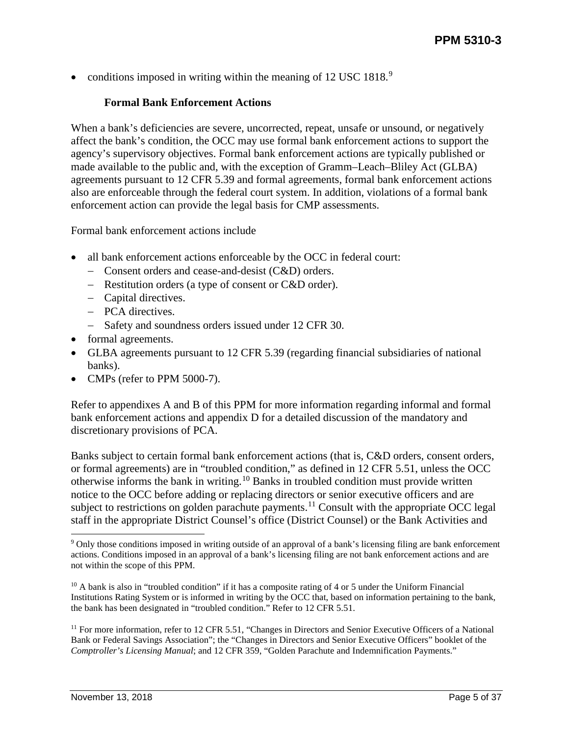<span id="page-4-0"></span>• conditions imposed in writing within the meaning of  $12 \text{ USC } 1818$ <sup>[9](#page-4-1)</sup>

#### **Formal Bank Enforcement Actions**

When a bank's deficiencies are severe, uncorrected, repeat, unsafe or unsound, or negatively affect the bank's condition, the OCC may use formal bank enforcement actions to support the agency's supervisory objectives. Formal bank enforcement actions are typically published or made available to the public and, with the exception of Gramm–Leach–Bliley Act (GLBA) agreements pursuant to 12 CFR 5.39 and formal agreements, formal bank enforcement actions also are enforceable through the federal court system. In addition, violations of a formal bank enforcement action can provide the legal basis for CMP assessments.

Formal bank enforcement actions include

- all bank enforcement actions enforceable by the OCC in federal court:
	- − Consent orders and cease-and-desist (C&D) orders.
	- − Restitution orders (a type of consent or C&D order).
	- − Capital directives.
	- − PCA directives.
	- − Safety and soundness orders issued under 12 CFR 30.
- formal agreements.
- GLBA agreements pursuant to 12 CFR 5.39 (regarding financial subsidiaries of national banks).
- CMPs (refer to PPM 5000-7).

Refer to appendixes A and B of this PPM for more information regarding informal and formal bank enforcement actions and appendix D for a detailed discussion of the mandatory and discretionary provisions of PCA.

Banks subject to certain formal bank enforcement actions (that is, C&D orders, consent orders, or formal agreements) are in "troubled condition," as defined in 12 CFR 5.51, unless the OCC otherwise informs the bank in writing.[10](#page-4-2) Banks in troubled condition must provide written notice to the OCC before adding or replacing directors or senior executive officers and are subject to restrictions on golden parachute payments.<sup>[11](#page-4-3)</sup> Consult with the appropriate OCC legal staff in the appropriate District Counsel's office (District Counsel) or the Bank Activities and

<span id="page-4-1"></span> <sup>9</sup> Only those conditions imposed in writing outside of an approval of a bank's licensing filing are bank enforcement actions. Conditions imposed in an approval of a bank's licensing filing are not bank enforcement actions and are not within the scope of this PPM.

<span id="page-4-2"></span><sup>&</sup>lt;sup>10</sup> A bank is also in "troubled condition" if it has a composite rating of 4 or 5 under the Uniform Financial Institutions Rating System or is informed in writing by the OCC that, based on information pertaining to the bank, the bank has been designated in "troubled condition." Refer to 12 CFR 5.51.

<span id="page-4-3"></span><sup>&</sup>lt;sup>11</sup> For more information, refer to 12 CFR 5.51, "Changes in Directors and Senior Executive Officers of a National Bank or Federal Savings Association"; the "Changes in Directors and Senior Executive Officers" booklet of the *Comptroller's Licensing Manual*; and 12 CFR 359, "Golden Parachute and Indemnification Payments."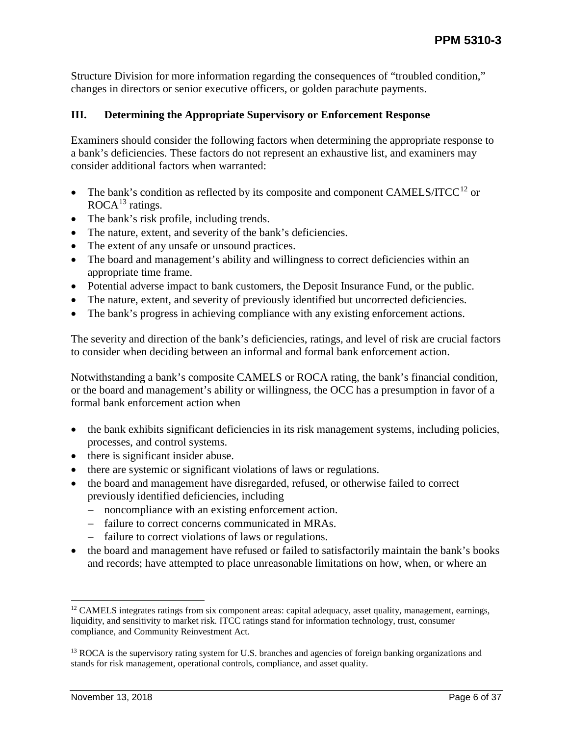Structure Division for more information regarding the consequences of "troubled condition," changes in directors or senior executive officers, or golden parachute payments.

#### <span id="page-5-0"></span>**III. Determining the Appropriate Supervisory or Enforcement Response**

Examiners should consider the following factors when determining the appropriate response to a bank's deficiencies. These factors do not represent an exhaustive list, and examiners may consider additional factors when warranted:

- The bank's condition as reflected by its composite and component CAMELS/ITCC<sup>[12](#page-5-1)</sup> or  $ROCA<sup>13</sup>$  $ROCA<sup>13</sup>$  $ROCA<sup>13</sup>$  ratings.
- The bank's risk profile, including trends.
- The nature, extent, and severity of the bank's deficiencies.
- The extent of any unsafe or unsound practices.
- The board and management's ability and willingness to correct deficiencies within an appropriate time frame.
- Potential adverse impact to bank customers, the Deposit Insurance Fund, or the public.
- The nature, extent, and severity of previously identified but uncorrected deficiencies.
- The bank's progress in achieving compliance with any existing enforcement actions.

The severity and direction of the bank's deficiencies, ratings, and level of risk are crucial factors to consider when deciding between an informal and formal bank enforcement action.

Notwithstanding a bank's composite CAMELS or ROCA rating, the bank's financial condition, or the board and management's ability or willingness, the OCC has a presumption in favor of a formal bank enforcement action when

- the bank exhibits significant deficiencies in its risk management systems, including policies, processes, and control systems.
- there is significant insider abuse.
- there are systemic or significant violations of laws or regulations.
- the board and management have disregarded, refused, or otherwise failed to correct previously identified deficiencies, including
	- − noncompliance with an existing enforcement action.
	- − failure to correct concerns communicated in MRAs.
	- − failure to correct violations of laws or regulations.
- the board and management have refused or failed to satisfactorily maintain the bank's books and records; have attempted to place unreasonable limitations on how, when, or where an

<span id="page-5-1"></span><sup>&</sup>lt;sup>12</sup> CAMELS integrates ratings from six component areas: capital adequacy, asset quality, management, earnings, liquidity, and sensitivity to market risk. ITCC ratings stand for information technology, trust, consumer compliance, and Community Reinvestment Act.

<span id="page-5-2"></span><sup>&</sup>lt;sup>13</sup> ROCA is the supervisory rating system for U.S. branches and agencies of foreign banking organizations and stands for risk management, operational controls, compliance, and asset quality.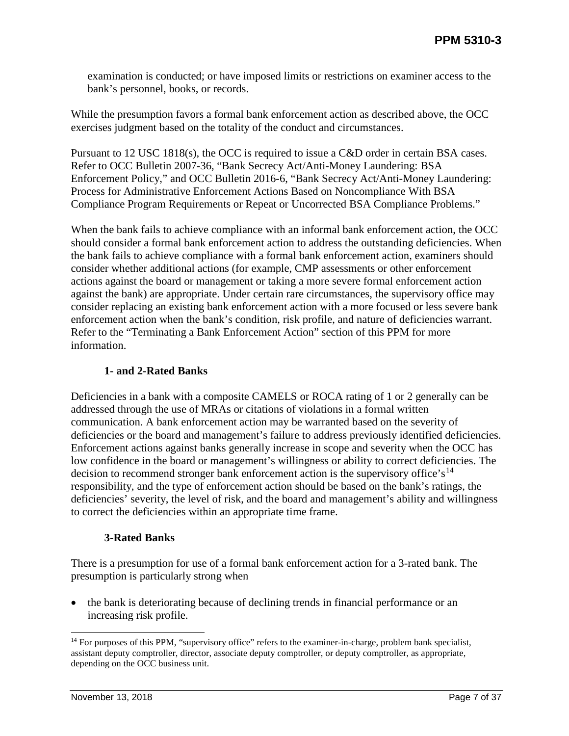examination is conducted; or have imposed limits or restrictions on examiner access to the bank's personnel, books, or records.

While the presumption favors a formal bank enforcement action as described above, the OCC exercises judgment based on the totality of the conduct and circumstances.

Pursuant to 12 USC 1818(s), the OCC is required to issue a C&D order in certain BSA cases. Refer to OCC Bulletin 2007-36, "Bank Secrecy Act/Anti-Money Laundering: BSA Enforcement Policy," and OCC Bulletin 2016-6, "Bank Secrecy Act/Anti-Money Laundering: Process for Administrative Enforcement Actions Based on Noncompliance With BSA Compliance Program Requirements or Repeat or Uncorrected BSA Compliance Problems."

When the bank fails to achieve compliance with an informal bank enforcement action, the OCC should consider a formal bank enforcement action to address the outstanding deficiencies. When the bank fails to achieve compliance with a formal bank enforcement action, examiners should consider whether additional actions (for example, CMP assessments or other enforcement actions against the board or management or taking a more severe formal enforcement action against the bank) are appropriate. Under certain rare circumstances, the supervisory office may consider replacing an existing bank enforcement action with a more focused or less severe bank enforcement action when the bank's condition, risk profile, and nature of deficiencies warrant. Refer to the "Terminating a Bank Enforcement Action" section of this PPM for more information.

## **1- and 2-Rated Banks**

<span id="page-6-0"></span>Deficiencies in a bank with a composite CAMELS or ROCA rating of 1 or 2 generally can be addressed through the use of MRAs or citations of violations in a formal written communication. A bank enforcement action may be warranted based on the severity of deficiencies or the board and management's failure to address previously identified deficiencies. Enforcement actions against banks generally increase in scope and severity when the OCC has low confidence in the board or management's willingness or ability to correct deficiencies. The decision to recommend stronger bank enforcement action is the supervisory office's<sup>[14](#page-6-2)</sup> responsibility, and the type of enforcement action should be based on the bank's ratings, the deficiencies' severity, the level of risk, and the board and management's ability and willingness to correct the deficiencies within an appropriate time frame.

#### **3-Rated Banks**

<span id="page-6-1"></span>There is a presumption for use of a formal bank enforcement action for a 3-rated bank. The presumption is particularly strong when

• the bank is deteriorating because of declining trends in financial performance or an increasing risk profile.

<span id="page-6-2"></span><sup>&</sup>lt;sup>14</sup> For purposes of this PPM, "supervisory office" refers to the examiner-in-charge, problem bank specialist, assistant deputy comptroller, director, associate deputy comptroller, or deputy comptroller, as appropriate, depending on the OCC business unit.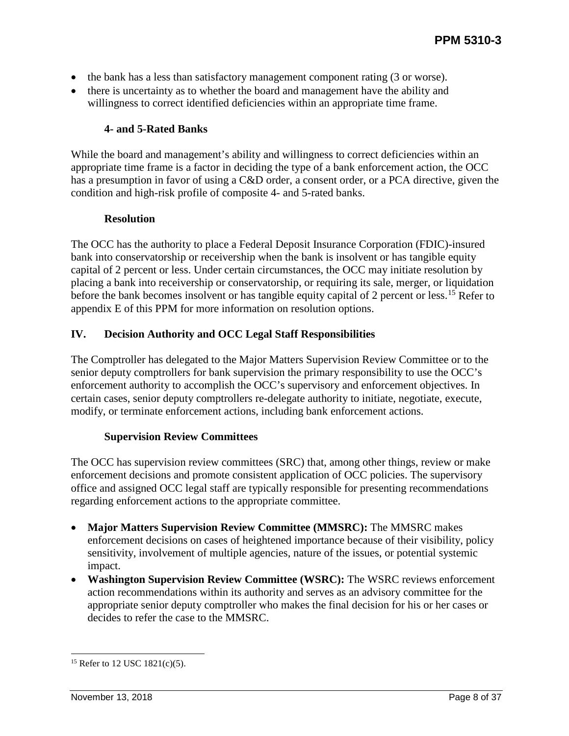- the bank has a less than satisfactory management component rating (3 or worse).
- there is uncertainty as to whether the board and management have the ability and willingness to correct identified deficiencies within an appropriate time frame.

## **4- and 5-Rated Banks**

<span id="page-7-0"></span>While the board and management's ability and willingness to correct deficiencies within an appropriate time frame is a factor in deciding the type of a bank enforcement action, the OCC has a presumption in favor of using a C&D order, a consent order, or a PCA directive, given the condition and high-risk profile of composite 4- and 5-rated banks.

#### **Resolution**

<span id="page-7-1"></span>The OCC has the authority to place a Federal Deposit Insurance Corporation (FDIC)-insured bank into conservatorship or receivership when the bank is insolvent or has tangible equity capital of 2 percent or less. Under certain circumstances, the OCC may initiate resolution by placing a bank into receivership or conservatorship, or requiring its sale, merger, or liquidation before the bank becomes insolvent or has tangible equity capital of 2 percent or less.<sup>[15](#page-7-4)</sup> Refer to appendix E of this PPM for more information on resolution options.

## <span id="page-7-2"></span>**IV. Decision Authority and OCC Legal Staff Responsibilities**

The Comptroller has delegated to the Major Matters Supervision Review Committee or to the senior deputy comptrollers for bank supervision the primary responsibility to use the OCC's enforcement authority to accomplish the OCC's supervisory and enforcement objectives. In certain cases, senior deputy comptrollers re-delegate authority to initiate, negotiate, execute, modify, or terminate enforcement actions, including bank enforcement actions.

#### **Supervision Review Committees**

<span id="page-7-3"></span>The OCC has supervision review committees (SRC) that, among other things, review or make enforcement decisions and promote consistent application of OCC policies. The supervisory office and assigned OCC legal staff are typically responsible for presenting recommendations regarding enforcement actions to the appropriate committee.

- **Major Matters Supervision Review Committee (MMSRC):** The MMSRC makes enforcement decisions on cases of heightened importance because of their visibility, policy sensitivity, involvement of multiple agencies, nature of the issues, or potential systemic impact.
- **Washington Supervision Review Committee (WSRC):** The WSRC reviews enforcement action recommendations within its authority and serves as an advisory committee for the appropriate senior deputy comptroller who makes the final decision for his or her cases or decides to refer the case to the MMSRC.

<span id="page-7-4"></span> <sup>15</sup> Refer to 12 USC 1821(c)(5).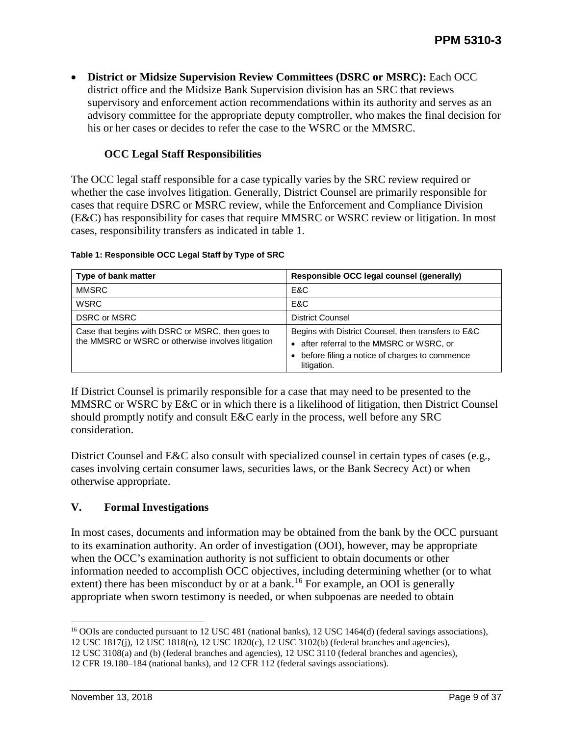• **District or Midsize Supervision Review Committees (DSRC or MSRC):** Each OCC district office and the Midsize Bank Supervision division has an SRC that reviews supervisory and enforcement action recommendations within its authority and serves as an advisory committee for the appropriate deputy comptroller, who makes the final decision for his or her cases or decides to refer the case to the WSRC or the MMSRC.

## **OCC Legal Staff Responsibilities**

<span id="page-8-0"></span>The OCC legal staff responsible for a case typically varies by the SRC review required or whether the case involves litigation. Generally, District Counsel are primarily responsible for cases that require DSRC or MSRC review, while the Enforcement and Compliance Division (E&C) has responsibility for cases that require MMSRC or WSRC review or litigation. In most cases, responsibility transfers as indicated in table 1.

| Type of bank matter                                                                                    | Responsible OCC legal counsel (generally)                                                                                                                                   |
|--------------------------------------------------------------------------------------------------------|-----------------------------------------------------------------------------------------------------------------------------------------------------------------------------|
| <b>MMSRC</b>                                                                                           | E&C                                                                                                                                                                         |
| <b>WSRC</b>                                                                                            | E&C                                                                                                                                                                         |
| <b>DSRC or MSRC</b>                                                                                    | <b>District Counsel</b>                                                                                                                                                     |
| Case that begins with DSRC or MSRC, then goes to<br>the MMSRC or WSRC or otherwise involves litigation | Begins with District Counsel, then transfers to E&C<br>after referral to the MMSRC or WSRC, or<br>$\bullet$<br>before filing a notice of charges to commence<br>litigation. |

#### **Table 1: Responsible OCC Legal Staff by Type of SRC**

If District Counsel is primarily responsible for a case that may need to be presented to the MMSRC or WSRC by E&C or in which there is a likelihood of litigation, then District Counsel should promptly notify and consult E&C early in the process, well before any SRC consideration.

District Counsel and E&C also consult with specialized counsel in certain types of cases (e.g., cases involving certain consumer laws, securities laws, or the Bank Secrecy Act) or when otherwise appropriate.

## <span id="page-8-1"></span>**V. Formal Investigations**

In most cases, documents and information may be obtained from the bank by the OCC pursuant to its examination authority. An order of investigation (OOI), however, may be appropriate when the OCC's examination authority is not sufficient to obtain documents or other information needed to accomplish OCC objectives, including determining whether (or to what extent) there has been misconduct by or at a bank.<sup>[16](#page-8-2)</sup> For example, an OOI is generally appropriate when sworn testimony is needed, or when subpoenas are needed to obtain

<span id="page-8-2"></span><sup>&</sup>lt;sup>16</sup> OOIs are conducted pursuant to 12 USC 481 (national banks), 12 USC 1464(d) (federal savings associations),

<sup>12</sup> USC 1817(j), 12 USC 1818(n), 12 USC 1820(c), 12 USC 3102(b) (federal branches and agencies),

<sup>12</sup> USC 3108(a) and (b) (federal branches and agencies), 12 USC 3110 (federal branches and agencies),

<sup>12</sup> CFR 19.180–184 (national banks), and 12 CFR 112 (federal savings associations).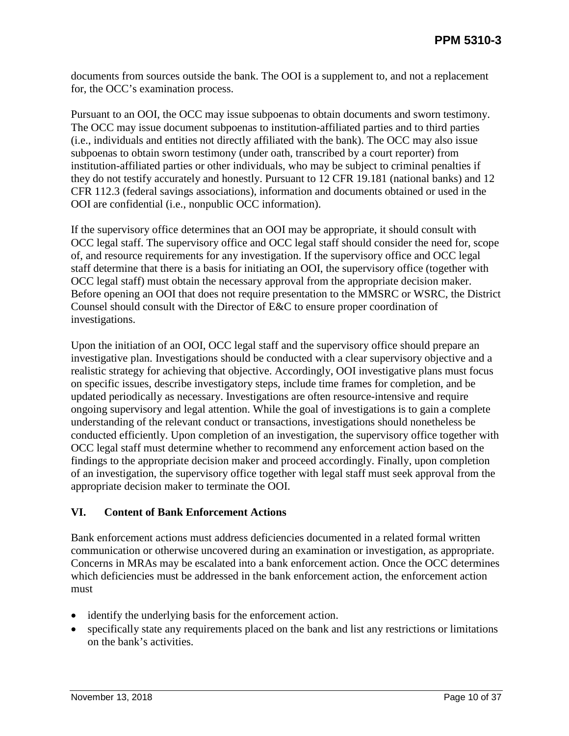documents from sources outside the bank. The OOI is a supplement to, and not a replacement for, the OCC's examination process.

Pursuant to an OOI, the OCC may issue subpoenas to obtain documents and sworn testimony. The OCC may issue document subpoenas to institution-affiliated parties and to third parties (i.e., individuals and entities not directly affiliated with the bank). The OCC may also issue subpoenas to obtain sworn testimony (under oath, transcribed by a court reporter) from institution-affiliated parties or other individuals, who may be subject to criminal penalties if they do not testify accurately and honestly. Pursuant to 12 CFR 19.181 (national banks) and 12 CFR 112.3 (federal savings associations), information and documents obtained or used in the OOI are confidential (i.e., nonpublic OCC information).

If the supervisory office determines that an OOI may be appropriate, it should consult with OCC legal staff. The supervisory office and OCC legal staff should consider the need for, scope of, and resource requirements for any investigation. If the supervisory office and OCC legal staff determine that there is a basis for initiating an OOI, the supervisory office (together with OCC legal staff) must obtain the necessary approval from the appropriate decision maker. Before opening an OOI that does not require presentation to the MMSRC or WSRC, the District Counsel should consult with the Director of E&C to ensure proper coordination of investigations.

Upon the initiation of an OOI, OCC legal staff and the supervisory office should prepare an investigative plan. Investigations should be conducted with a clear supervisory objective and a realistic strategy for achieving that objective. Accordingly, OOI investigative plans must focus on specific issues, describe investigatory steps, include time frames for completion, and be updated periodically as necessary. Investigations are often resource-intensive and require ongoing supervisory and legal attention. While the goal of investigations is to gain a complete understanding of the relevant conduct or transactions, investigations should nonetheless be conducted efficiently. Upon completion of an investigation, the supervisory office together with OCC legal staff must determine whether to recommend any enforcement action based on the findings to the appropriate decision maker and proceed accordingly. Finally, upon completion of an investigation, the supervisory office together with legal staff must seek approval from the appropriate decision maker to terminate the OOI.

## <span id="page-9-0"></span>**VI. Content of Bank Enforcement Actions**

Bank enforcement actions must address deficiencies documented in a related formal written communication or otherwise uncovered during an examination or investigation, as appropriate. Concerns in MRAs may be escalated into a bank enforcement action. Once the OCC determines which deficiencies must be addressed in the bank enforcement action, the enforcement action must

- identify the underlying basis for the enforcement action.
- specifically state any requirements placed on the bank and list any restrictions or limitations on the bank's activities.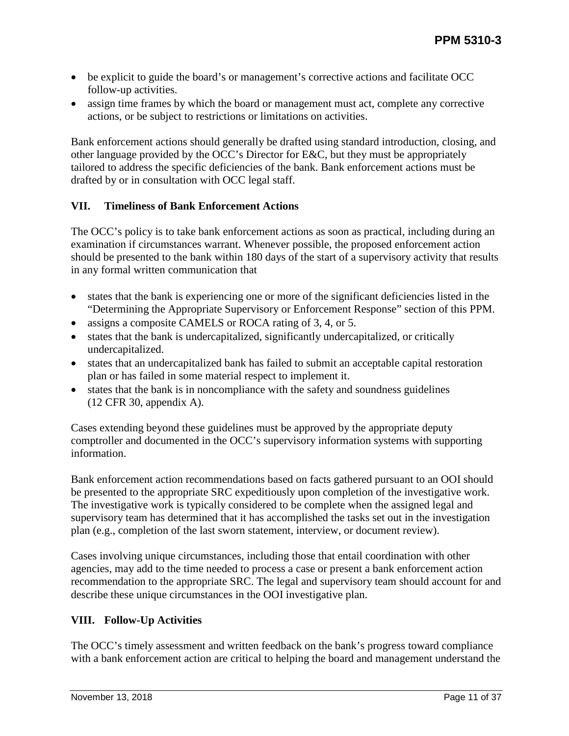- be explicit to guide the board's or management's corrective actions and facilitate OCC follow-up activities.
- assign time frames by which the board or management must act, complete any corrective actions, or be subject to restrictions or limitations on activities.

Bank enforcement actions should generally be drafted using standard introduction, closing, and other language provided by the OCC's Director for E&C, but they must be appropriately tailored to address the specific deficiencies of the bank. Bank enforcement actions must be drafted by or in consultation with OCC legal staff.

## <span id="page-10-0"></span>**VII. Timeliness of Bank Enforcement Actions**

The OCC's policy is to take bank enforcement actions as soon as practical, including during an examination if circumstances warrant. Whenever possible, the proposed enforcement action should be presented to the bank within 180 days of the start of a supervisory activity that results in any formal written communication that

- states that the bank is experiencing one or more of the significant deficiencies listed in the "Determining the Appropriate Supervisory or Enforcement Response" section of this PPM.
- assigns a composite CAMELS or ROCA rating of 3, 4, or 5.
- states that the bank is undercapitalized, significantly undercapitalized, or critically undercapitalized.
- states that an undercapitalized bank has failed to submit an acceptable capital restoration plan or has failed in some material respect to implement it.
- states that the bank is in noncompliance with the safety and soundness guidelines (12 CFR 30, appendix A).

Cases extending beyond these guidelines must be approved by the appropriate deputy comptroller and documented in the OCC's supervisory information systems with supporting information.

Bank enforcement action recommendations based on facts gathered pursuant to an OOI should be presented to the appropriate SRC expeditiously upon completion of the investigative work. The investigative work is typically considered to be complete when the assigned legal and supervisory team has determined that it has accomplished the tasks set out in the investigation plan (e.g., completion of the last sworn statement, interview, or document review).

Cases involving unique circumstances, including those that entail coordination with other agencies, may add to the time needed to process a case or present a bank enforcement action recommendation to the appropriate SRC. The legal and supervisory team should account for and describe these unique circumstances in the OOI investigative plan.

## <span id="page-10-1"></span>**VIII. Follow-Up Activities**

The OCC's timely assessment and written feedback on the bank's progress toward compliance with a bank enforcement action are critical to helping the board and management understand the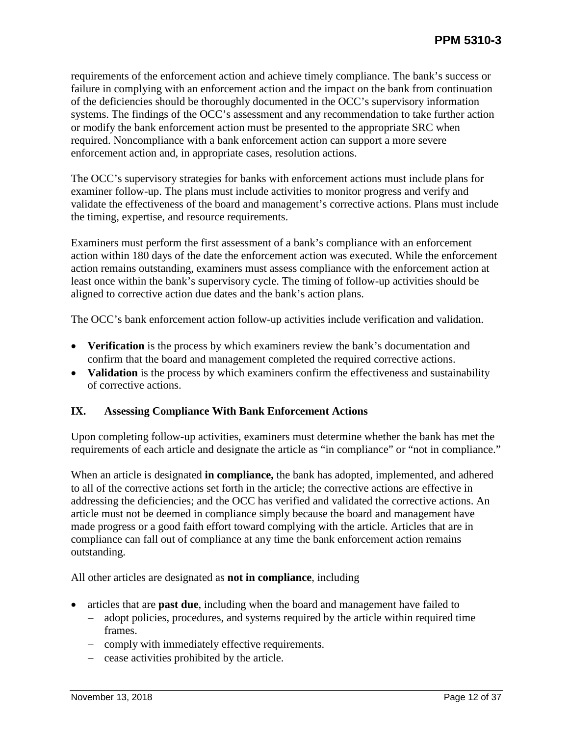requirements of the enforcement action and achieve timely compliance. The bank's success or failure in complying with an enforcement action and the impact on the bank from continuation of the deficiencies should be thoroughly documented in the OCC's supervisory information systems. The findings of the OCC's assessment and any recommendation to take further action or modify the bank enforcement action must be presented to the appropriate SRC when required. Noncompliance with a bank enforcement action can support a more severe enforcement action and, in appropriate cases, resolution actions.

The OCC's supervisory strategies for banks with enforcement actions must include plans for examiner follow-up. The plans must include activities to monitor progress and verify and validate the effectiveness of the board and management's corrective actions. Plans must include the timing, expertise, and resource requirements.

Examiners must perform the first assessment of a bank's compliance with an enforcement action within 180 days of the date the enforcement action was executed. While the enforcement action remains outstanding, examiners must assess compliance with the enforcement action at least once within the bank's supervisory cycle. The timing of follow-up activities should be aligned to corrective action due dates and the bank's action plans.

The OCC's bank enforcement action follow-up activities include verification and validation.

- **Verification** is the process by which examiners review the bank's documentation and confirm that the board and management completed the required corrective actions.
- **Validation** is the process by which examiners confirm the effectiveness and sustainability of corrective actions.

## <span id="page-11-0"></span>**IX. Assessing Compliance With Bank Enforcement Actions**

Upon completing follow-up activities, examiners must determine whether the bank has met the requirements of each article and designate the article as "in compliance" or "not in compliance."

When an article is designated **in compliance,** the bank has adopted, implemented, and adhered to all of the corrective actions set forth in the article; the corrective actions are effective in addressing the deficiencies; and the OCC has verified and validated the corrective actions. An article must not be deemed in compliance simply because the board and management have made progress or a good faith effort toward complying with the article. Articles that are in compliance can fall out of compliance at any time the bank enforcement action remains outstanding.

All other articles are designated as **not in compliance**, including

- articles that are **past due**, including when the board and management have failed to
	- − adopt policies, procedures, and systems required by the article within required time frames.
	- − comply with immediately effective requirements.
	- − cease activities prohibited by the article.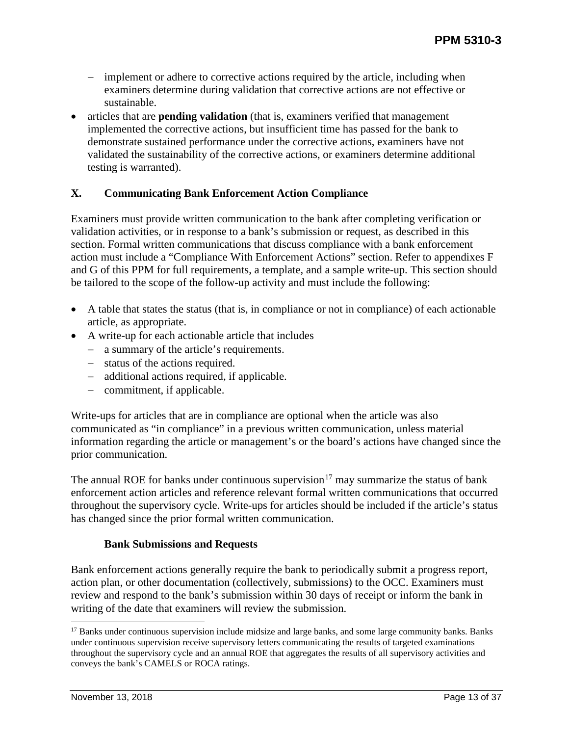- − implement or adhere to corrective actions required by the article, including when examiners determine during validation that corrective actions are not effective or sustainable.
- articles that are **pending validation** (that is, examiners verified that management implemented the corrective actions, but insufficient time has passed for the bank to demonstrate sustained performance under the corrective actions, examiners have not validated the sustainability of the corrective actions, or examiners determine additional testing is warranted).

## <span id="page-12-0"></span>**X. Communicating Bank Enforcement Action Compliance**

Examiners must provide written communication to the bank after completing verification or validation activities, or in response to a bank's submission or request, as described in this section. Formal written communications that discuss compliance with a bank enforcement action must include a "Compliance With Enforcement Actions" section. Refer to appendixes F and G of this PPM for full requirements, a template, and a sample write-up. This section should be tailored to the scope of the follow-up activity and must include the following:

- A table that states the status (that is, in compliance or not in compliance) of each actionable article, as appropriate.
- A write-up for each actionable article that includes
	- − a summary of the article's requirements.
	- − status of the actions required.
	- − additional actions required, if applicable.
	- − commitment, if applicable.

Write-ups for articles that are in compliance are optional when the article was also communicated as "in compliance" in a previous written communication, unless material information regarding the article or management's or the board's actions have changed since the prior communication.

The annual ROE for banks under continuous supervision<sup>[17](#page-12-2)</sup> may summarize the status of bank enforcement action articles and reference relevant formal written communications that occurred throughout the supervisory cycle. Write-ups for articles should be included if the article's status has changed since the prior formal written communication.

## **Bank Submissions and Requests**

<span id="page-12-1"></span>Bank enforcement actions generally require the bank to periodically submit a progress report, action plan, or other documentation (collectively, submissions) to the OCC. Examiners must review and respond to the bank's submission within 30 days of receipt or inform the bank in writing of the date that examiners will review the submission.

<span id="page-12-2"></span><sup>&</sup>lt;sup>17</sup> Banks under continuous supervision include midsize and large banks, and some large community banks. Banks under continuous supervision receive supervisory letters communicating the results of targeted examinations throughout the supervisory cycle and an annual ROE that aggregates the results of all supervisory activities and conveys the bank's CAMELS or ROCA ratings.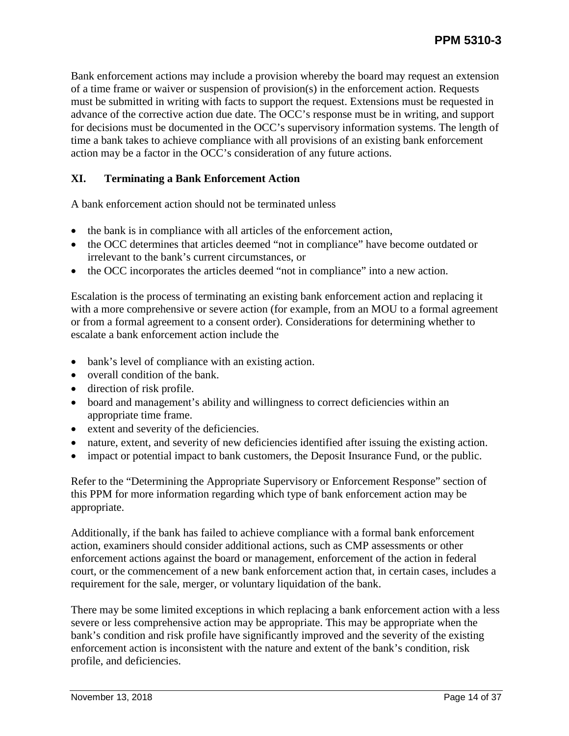Bank enforcement actions may include a provision whereby the board may request an extension of a time frame or waiver or suspension of provision(s) in the enforcement action. Requests must be submitted in writing with facts to support the request. Extensions must be requested in advance of the corrective action due date. The OCC's response must be in writing, and support for decisions must be documented in the OCC's supervisory information systems. The length of time a bank takes to achieve compliance with all provisions of an existing bank enforcement action may be a factor in the OCC's consideration of any future actions.

## <span id="page-13-0"></span>**XI. Terminating a Bank Enforcement Action**

A bank enforcement action should not be terminated unless

- the bank is in compliance with all articles of the enforcement action,
- the OCC determines that articles deemed "not in compliance" have become outdated or irrelevant to the bank's current circumstances, or
- the OCC incorporates the articles deemed "not in compliance" into a new action.

Escalation is the process of terminating an existing bank enforcement action and replacing it with a more comprehensive or severe action (for example, from an MOU to a formal agreement or from a formal agreement to a consent order). Considerations for determining whether to escalate a bank enforcement action include the

- bank's level of compliance with an existing action.
- overall condition of the bank.
- direction of risk profile.
- board and management's ability and willingness to correct deficiencies within an appropriate time frame.
- extent and severity of the deficiencies.
- nature, extent, and severity of new deficiencies identified after issuing the existing action.
- impact or potential impact to bank customers, the Deposit Insurance Fund, or the public.

Refer to the "Determining the Appropriate Supervisory or Enforcement Response" section of this PPM for more information regarding which type of bank enforcement action may be appropriate.

Additionally, if the bank has failed to achieve compliance with a formal bank enforcement action, examiners should consider additional actions, such as CMP assessments or other enforcement actions against the board or management, enforcement of the action in federal court, or the commencement of a new bank enforcement action that, in certain cases, includes a requirement for the sale, merger, or voluntary liquidation of the bank.

There may be some limited exceptions in which replacing a bank enforcement action with a less severe or less comprehensive action may be appropriate. This may be appropriate when the bank's condition and risk profile have significantly improved and the severity of the existing enforcement action is inconsistent with the nature and extent of the bank's condition, risk profile, and deficiencies.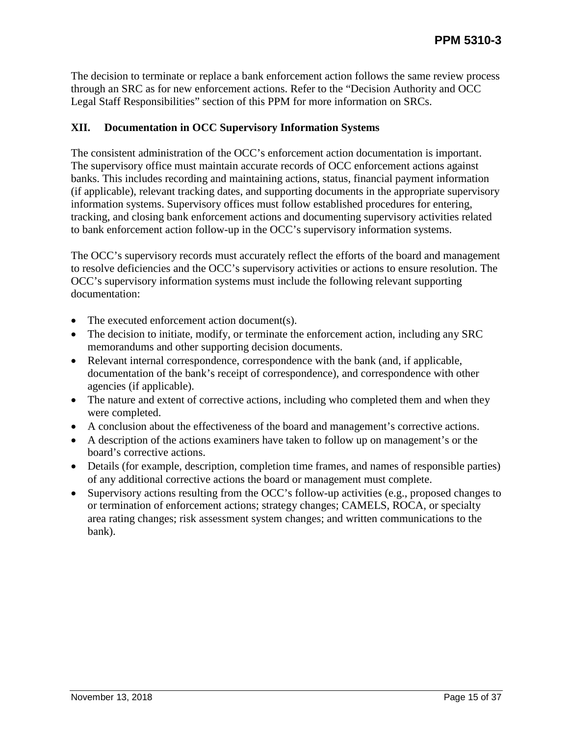The decision to terminate or replace a bank enforcement action follows the same review process through an SRC as for new enforcement actions. Refer to the "Decision Authority and OCC Legal Staff Responsibilities" section of this PPM for more information on SRCs.

## <span id="page-14-0"></span>**XII. Documentation in OCC Supervisory Information Systems**

The consistent administration of the OCC's enforcement action documentation is important. The supervisory office must maintain accurate records of OCC enforcement actions against banks. This includes recording and maintaining actions, status, financial payment information (if applicable), relevant tracking dates, and supporting documents in the appropriate supervisory information systems. Supervisory offices must follow established procedures for entering, tracking, and closing bank enforcement actions and documenting supervisory activities related to bank enforcement action follow-up in the OCC's supervisory information systems.

The OCC's supervisory records must accurately reflect the efforts of the board and management to resolve deficiencies and the OCC's supervisory activities or actions to ensure resolution. The OCC's supervisory information systems must include the following relevant supporting documentation:

- The executed enforcement action document(s).
- The decision to initiate, modify, or terminate the enforcement action, including any SRC memorandums and other supporting decision documents.
- Relevant internal correspondence, correspondence with the bank (and, if applicable, documentation of the bank's receipt of correspondence), and correspondence with other agencies (if applicable).
- The nature and extent of corrective actions, including who completed them and when they were completed.
- A conclusion about the effectiveness of the board and management's corrective actions.
- A description of the actions examiners have taken to follow up on management's or the board's corrective actions.
- Details (for example, description, completion time frames, and names of responsible parties) of any additional corrective actions the board or management must complete.
- Supervisory actions resulting from the OCC's follow-up activities (e.g., proposed changes to or termination of enforcement actions; strategy changes; CAMELS, ROCA, or specialty area rating changes; risk assessment system changes; and written communications to the bank).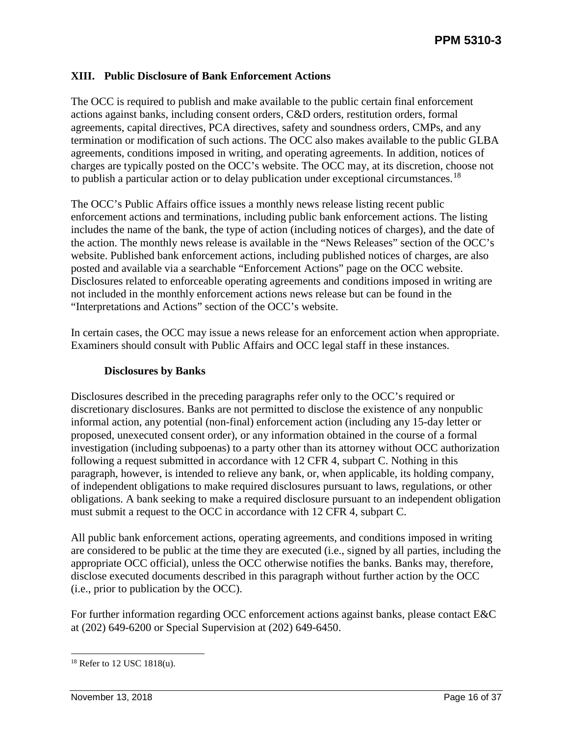## <span id="page-15-0"></span>**XIII. Public Disclosure of Bank Enforcement Actions**

The OCC is required to publish and make available to the public certain final enforcement actions against banks, including consent orders, C&D orders, restitution orders, formal agreements, capital directives, PCA directives, safety and soundness orders, CMPs, and any termination or modification of such actions. The OCC also makes available to the public GLBA agreements, conditions imposed in writing, and operating agreements. In addition, notices of charges are typically posted on the OCC's website. The OCC may, at its discretion, choose not to publish a particular action or to delay publication under exceptional circumstances.<sup>[18](#page-15-2)</sup>

The OCC's Public Affairs office issues a monthly news release listing recent public enforcement actions and terminations, including public bank enforcement actions. The listing includes the name of the bank, the type of action (including notices of charges), and the date of the action. The monthly news release is available in the "News Releases" section of the OCC's website. Published bank enforcement actions, including published notices of charges, are also posted and available via a searchable "Enforcement Actions" page on the OCC website. Disclosures related to enforceable operating agreements and conditions imposed in writing are not included in the monthly enforcement actions news release but can be found in the "Interpretations and Actions" section of the OCC's website.

In certain cases, the OCC may issue a news release for an enforcement action when appropriate. Examiners should consult with Public Affairs and OCC legal staff in these instances.

#### **Disclosures by Banks**

<span id="page-15-1"></span>Disclosures described in the preceding paragraphs refer only to the OCC's required or discretionary disclosures. Banks are not permitted to disclose the existence of any nonpublic informal action, any potential (non-final) enforcement action (including any 15-day letter or proposed, unexecuted consent order), or any information obtained in the course of a formal investigation (including subpoenas) to a party other than its attorney without OCC authorization following a request submitted in accordance with 12 CFR 4, subpart C. Nothing in this paragraph, however, is intended to relieve any bank, or, when applicable, its holding company, of independent obligations to make required disclosures pursuant to laws, regulations, or other obligations. A bank seeking to make a required disclosure pursuant to an independent obligation must submit a request to the OCC in accordance with 12 CFR 4, subpart C.

All public bank enforcement actions, operating agreements, and conditions imposed in writing are considered to be public at the time they are executed (i.e., signed by all parties, including the appropriate OCC official), unless the OCC otherwise notifies the banks. Banks may, therefore, disclose executed documents described in this paragraph without further action by the OCC (i.e., prior to publication by the OCC).

For further information regarding OCC enforcement actions against banks, please contact E&C at (202) 649-6200 or Special Supervision at (202) 649-6450.

<span id="page-15-2"></span> <sup>18</sup> Refer to 12 USC 1818(u).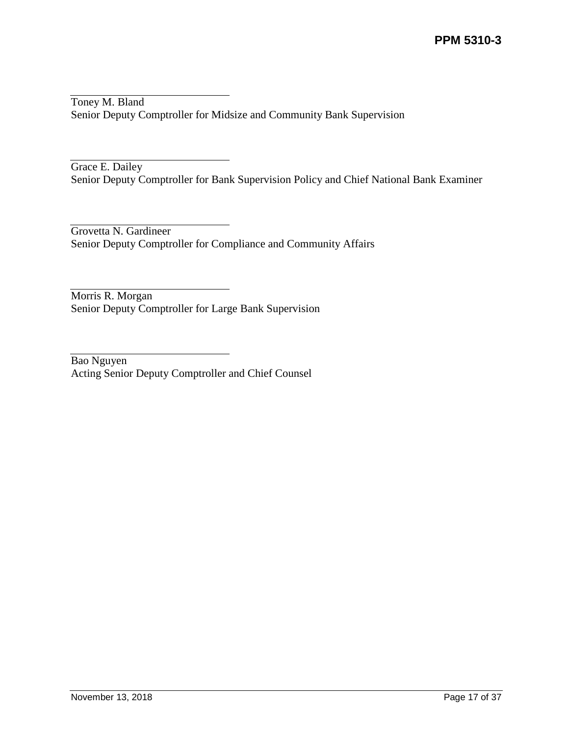Toney M. Bland Senior Deputy Comptroller for Midsize and Community Bank Supervision

Grace E. Dailey Senior Deputy Comptroller for Bank Supervision Policy and Chief National Bank Examiner

Grovetta N. Gardineer Senior Deputy Comptroller for Compliance and Community Affairs

Morris R. Morgan Senior Deputy Comptroller for Large Bank Supervision

Bao Nguyen Acting Senior Deputy Comptroller and Chief Counsel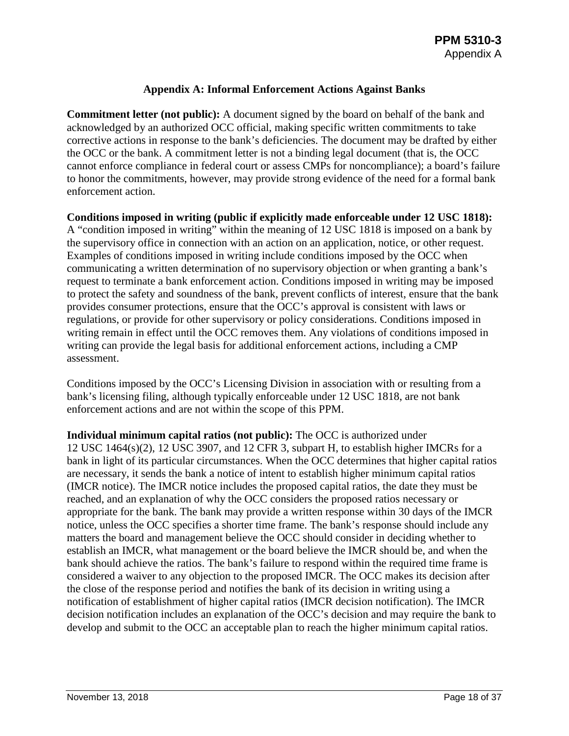## **Appendix A: Informal Enforcement Actions Against Banks**

<span id="page-17-0"></span>**Commitment letter (not public):** A document signed by the board on behalf of the bank and acknowledged by an authorized OCC official, making specific written commitments to take corrective actions in response to the bank's deficiencies. The document may be drafted by either the OCC or the bank. A commitment letter is not a binding legal document (that is, the OCC cannot enforce compliance in federal court or assess CMPs for noncompliance); a board's failure to honor the commitments, however, may provide strong evidence of the need for a formal bank enforcement action.

**Conditions imposed in writing (public if explicitly made enforceable under 12 USC 1818):** A "condition imposed in writing" within the meaning of 12 USC 1818 is imposed on a bank by the supervisory office in connection with an action on an application, notice, or other request. Examples of conditions imposed in writing include conditions imposed by the OCC when communicating a written determination of no supervisory objection or when granting a bank's request to terminate a bank enforcement action. Conditions imposed in writing may be imposed to protect the safety and soundness of the bank, prevent conflicts of interest, ensure that the bank provides consumer protections, ensure that the OCC's approval is consistent with laws or regulations, or provide for other supervisory or policy considerations. Conditions imposed in writing remain in effect until the OCC removes them. Any violations of conditions imposed in writing can provide the legal basis for additional enforcement actions, including a CMP assessment.

Conditions imposed by the OCC's Licensing Division in association with or resulting from a bank's licensing filing, although typically enforceable under 12 USC 1818, are not bank enforcement actions and are not within the scope of this PPM.

**Individual minimum capital ratios (not public):** The OCC is authorized under 12 USC 1464(s)(2), 12 USC 3907, and 12 CFR 3, subpart H, to establish higher IMCRs for a bank in light of its particular circumstances. When the OCC determines that higher capital ratios are necessary, it sends the bank a notice of intent to establish higher minimum capital ratios (IMCR notice). The IMCR notice includes the proposed capital ratios, the date they must be reached, and an explanation of why the OCC considers the proposed ratios necessary or appropriate for the bank. The bank may provide a written response within 30 days of the IMCR notice, unless the OCC specifies a shorter time frame. The bank's response should include any matters the board and management believe the OCC should consider in deciding whether to establish an IMCR, what management or the board believe the IMCR should be, and when the bank should achieve the ratios. The bank's failure to respond within the required time frame is considered a waiver to any objection to the proposed IMCR. The OCC makes its decision after the close of the response period and notifies the bank of its decision in writing using a notification of establishment of higher capital ratios (IMCR decision notification). The IMCR decision notification includes an explanation of the OCC's decision and may require the bank to develop and submit to the OCC an acceptable plan to reach the higher minimum capital ratios.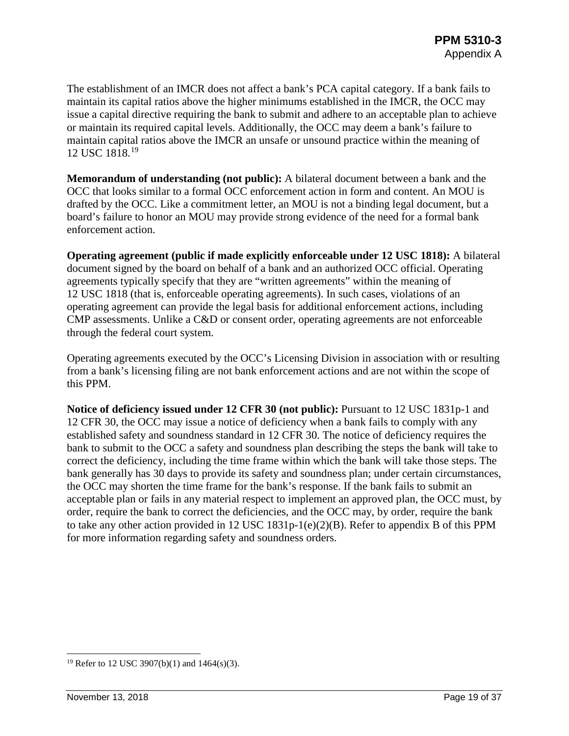The establishment of an IMCR does not affect a bank's PCA capital category. If a bank fails to maintain its capital ratios above the higher minimums established in the IMCR, the OCC may issue a capital directive requiring the bank to submit and adhere to an acceptable plan to achieve or maintain its required capital levels. Additionally, the OCC may deem a bank's failure to maintain capital ratios above the IMCR an unsafe or unsound practice within the meaning of 12 USC 1818.[19](#page-18-0)

**Memorandum of understanding (not public):** A bilateral document between a bank and the OCC that looks similar to a formal OCC enforcement action in form and content. An MOU is drafted by the OCC. Like a commitment letter, an MOU is not a binding legal document, but a board's failure to honor an MOU may provide strong evidence of the need for a formal bank enforcement action.

**Operating agreement (public if made explicitly enforceable under 12 USC 1818):** A bilateral document signed by the board on behalf of a bank and an authorized OCC official. Operating agreements typically specify that they are "written agreements" within the meaning of 12 USC 1818 (that is, enforceable operating agreements). In such cases, violations of an operating agreement can provide the legal basis for additional enforcement actions, including CMP assessments. Unlike a C&D or consent order, operating agreements are not enforceable through the federal court system.

Operating agreements executed by the OCC's Licensing Division in association with or resulting from a bank's licensing filing are not bank enforcement actions and are not within the scope of this PPM.

**Notice of deficiency issued under 12 CFR 30 (not public):** Pursuant to 12 USC 1831p-1 and 12 CFR 30, the OCC may issue a notice of deficiency when a bank fails to comply with any established safety and soundness standard in 12 CFR 30. The notice of deficiency requires the bank to submit to the OCC a safety and soundness plan describing the steps the bank will take to correct the deficiency, including the time frame within which the bank will take those steps. The bank generally has 30 days to provide its safety and soundness plan; under certain circumstances, the OCC may shorten the time frame for the bank's response. If the bank fails to submit an acceptable plan or fails in any material respect to implement an approved plan, the OCC must, by order, require the bank to correct the deficiencies, and the OCC may, by order, require the bank to take any other action provided in 12 USC 1831p-1(e)(2)(B). Refer to appendix B of this PPM for more information regarding safety and soundness orders.

<span id="page-18-0"></span><sup>&</sup>lt;sup>19</sup> Refer to 12 USC 3907(b)(1) and 1464(s)(3).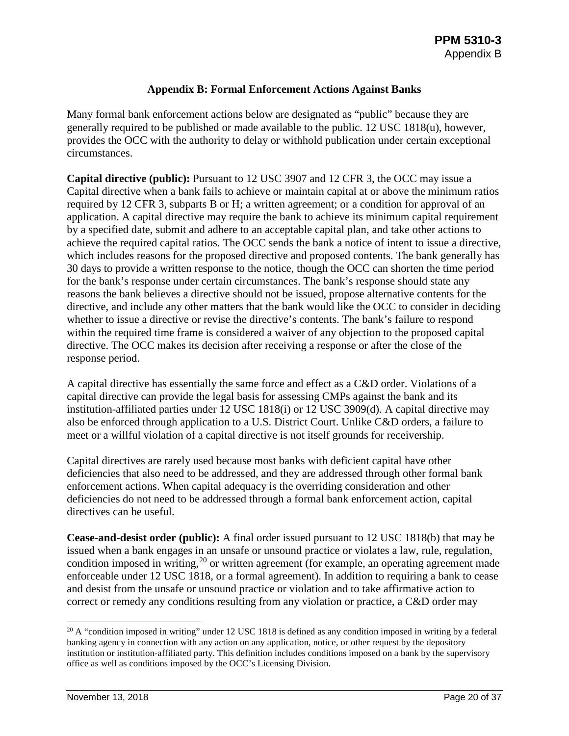## **Appendix B: Formal Enforcement Actions Against Banks**

<span id="page-19-0"></span>Many formal bank enforcement actions below are designated as "public" because they are generally required to be published or made available to the public. 12 USC 1818(u), however, provides the OCC with the authority to delay or withhold publication under certain exceptional circumstances.

**Capital directive (public):** Pursuant to 12 USC 3907 and 12 CFR 3, the OCC may issue a Capital directive when a bank fails to achieve or maintain capital at or above the minimum ratios required by 12 CFR 3, subparts B or H; a written agreement; or a condition for approval of an application. A capital directive may require the bank to achieve its minimum capital requirement by a specified date, submit and adhere to an acceptable capital plan, and take other actions to achieve the required capital ratios. The OCC sends the bank a notice of intent to issue a directive, which includes reasons for the proposed directive and proposed contents. The bank generally has 30 days to provide a written response to the notice, though the OCC can shorten the time period for the bank's response under certain circumstances. The bank's response should state any reasons the bank believes a directive should not be issued, propose alternative contents for the directive, and include any other matters that the bank would like the OCC to consider in deciding whether to issue a directive or revise the directive's contents. The bank's failure to respond within the required time frame is considered a waiver of any objection to the proposed capital directive. The OCC makes its decision after receiving a response or after the close of the response period.

A capital directive has essentially the same force and effect as a C&D order. Violations of a capital directive can provide the legal basis for assessing CMPs against the bank and its institution-affiliated parties under 12 USC 1818(i) or 12 USC 3909(d). A capital directive may also be enforced through application to a U.S. District Court. Unlike C&D orders, a failure to meet or a willful violation of a capital directive is not itself grounds for receivership.

Capital directives are rarely used because most banks with deficient capital have other deficiencies that also need to be addressed, and they are addressed through other formal bank enforcement actions. When capital adequacy is the overriding consideration and other deficiencies do not need to be addressed through a formal bank enforcement action, capital directives can be useful.

**Cease-and-desist order (public):** A final order issued pursuant to 12 USC 1818(b) that may be issued when a bank engages in an unsafe or unsound practice or violates a law, rule, regulation, condition imposed in writing,<sup>[20](#page-19-1)</sup> or written agreement (for example, an operating agreement made enforceable under 12 USC 1818, or a formal agreement). In addition to requiring a bank to cease and desist from the unsafe or unsound practice or violation and to take affirmative action to correct or remedy any conditions resulting from any violation or practice, a C&D order may

<span id="page-19-1"></span> $20$  A "condition imposed in writing" under 12 USC 1818 is defined as any condition imposed in writing by a federal banking agency in connection with any action on any application, notice, or other request by the depository institution or institution-affiliated party. This definition includes conditions imposed on a bank by the supervisory office as well as conditions imposed by the OCC's Licensing Division.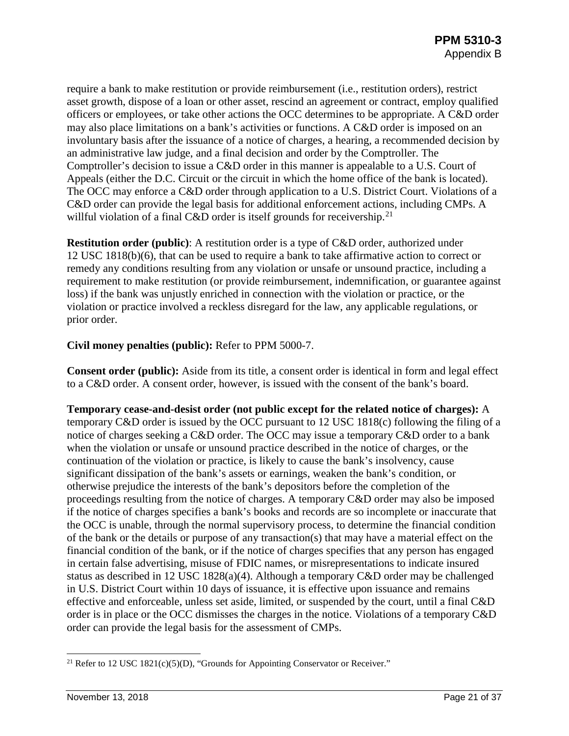require a bank to make restitution or provide reimbursement (i.e., restitution orders), restrict asset growth, dispose of a loan or other asset, rescind an agreement or contract, employ qualified officers or employees, or take other actions the OCC determines to be appropriate. A C&D order may also place limitations on a bank's activities or functions. A C&D order is imposed on an involuntary basis after the issuance of a notice of charges, a hearing, a recommended decision by an administrative law judge, and a final decision and order by the Comptroller. The Comptroller's decision to issue a C&D order in this manner is appealable to a U.S. Court of Appeals (either the D.C. Circuit or the circuit in which the home office of the bank is located). The OCC may enforce a C&D order through application to a U.S. District Court. Violations of a C&D order can provide the legal basis for additional enforcement actions, including CMPs. A willful violation of a final C&D order is itself grounds for receivership.<sup>[21](#page-20-0)</sup>

**Restitution order (public)**: A restitution order is a type of C&D order, authorized under 12 USC 1818(b)(6), that can be used to require a bank to take affirmative action to correct or remedy any conditions resulting from any violation or unsafe or unsound practice, including a requirement to make restitution (or provide reimbursement, indemnification, or guarantee against loss) if the bank was unjustly enriched in connection with the violation or practice, or the violation or practice involved a reckless disregard for the law, any applicable regulations, or prior order.

#### **Civil money penalties (public):** Refer to PPM 5000-7.

**Consent order (public):** Aside from its title, a consent order is identical in form and legal effect to a C&D order. A consent order, however, is issued with the consent of the bank's board.

**Temporary cease-and-desist order (not public except for the related notice of charges):** A temporary C&D order is issued by the OCC pursuant to 12 USC 1818(c) following the filing of a notice of charges seeking a C&D order. The OCC may issue a temporary C&D order to a bank when the violation or unsafe or unsound practice described in the notice of charges, or the continuation of the violation or practice, is likely to cause the bank's insolvency, cause significant dissipation of the bank's assets or earnings, weaken the bank's condition, or otherwise prejudice the interests of the bank's depositors before the completion of the proceedings resulting from the notice of charges. A temporary C&D order may also be imposed if the notice of charges specifies a bank's books and records are so incomplete or inaccurate that the OCC is unable, through the normal supervisory process, to determine the financial condition of the bank or the details or purpose of any transaction(s) that may have a material effect on the financial condition of the bank, or if the notice of charges specifies that any person has engaged in certain false advertising, misuse of FDIC names, or misrepresentations to indicate insured status as described in 12 USC 1828(a)(4). Although a temporary C&D order may be challenged in U.S. District Court within 10 days of issuance, it is effective upon issuance and remains effective and enforceable, unless set aside, limited, or suspended by the court, until a final C&D order is in place or the OCC dismisses the charges in the notice. Violations of a temporary C&D order can provide the legal basis for the assessment of CMPs.

<span id="page-20-0"></span><sup>&</sup>lt;sup>21</sup> Refer to 12 USC 1821(c)(5)(D), "Grounds for Appointing Conservator or Receiver."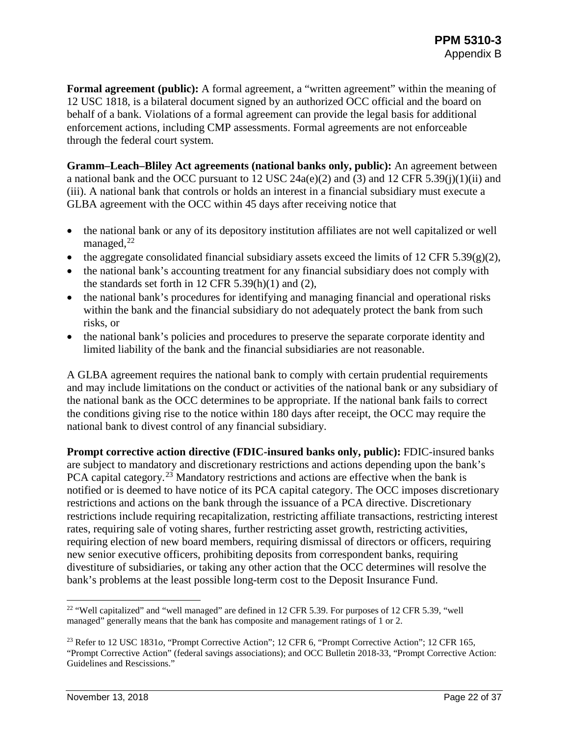**Formal agreement (public):** A formal agreement, a "written agreement" within the meaning of 12 USC 1818, is a bilateral document signed by an authorized OCC official and the board on behalf of a bank. Violations of a formal agreement can provide the legal basis for additional enforcement actions, including CMP assessments. Formal agreements are not enforceable through the federal court system.

**Gramm–Leach–Bliley Act agreements (national banks only, public):** An agreement between a national bank and the OCC pursuant to 12 USC  $24a(e)(2)$  and (3) and 12 CFR 5.39(j)(1)(ii) and (iii). A national bank that controls or holds an interest in a financial subsidiary must execute a GLBA agreement with the OCC within 45 days after receiving notice that

- the national bank or any of its depository institution affiliates are not well capitalized or well managed, $^{22}$  $^{22}$  $^{22}$
- the aggregate consolidated financial subsidiary assets exceed the limits of 12 CFR 5.39(g)(2),
- the national bank's accounting treatment for any financial subsidiary does not comply with the standards set forth in 12 CFR  $5.39(h)(1)$  and  $(2)$ ,
- the national bank's procedures for identifying and managing financial and operational risks within the bank and the financial subsidiary do not adequately protect the bank from such risks, or
- the national bank's policies and procedures to preserve the separate corporate identity and limited liability of the bank and the financial subsidiaries are not reasonable.

A GLBA agreement requires the national bank to comply with certain prudential requirements and may include limitations on the conduct or activities of the national bank or any subsidiary of the national bank as the OCC determines to be appropriate. If the national bank fails to correct the conditions giving rise to the notice within 180 days after receipt, the OCC may require the national bank to divest control of any financial subsidiary.

**Prompt corrective action directive (FDIC-insured banks only, public):** FDIC-insured banks are subject to mandatory and discretionary restrictions and actions depending upon the bank's PCA capital category.<sup>[23](#page-21-1)</sup> Mandatory restrictions and actions are effective when the bank is notified or is deemed to have notice of its PCA capital category. The OCC imposes discretionary restrictions and actions on the bank through the issuance of a PCA directive. Discretionary restrictions include requiring recapitalization, restricting affiliate transactions, restricting interest rates, requiring sale of voting shares, further restricting asset growth, restricting activities, requiring election of new board members, requiring dismissal of directors or officers, requiring new senior executive officers, prohibiting deposits from correspondent banks, requiring divestiture of subsidiaries, or taking any other action that the OCC determines will resolve the bank's problems at the least possible long-term cost to the Deposit Insurance Fund.

<span id="page-21-0"></span><sup>&</sup>lt;sup>22</sup> "Well capitalized" and "well managed" are defined in 12 CFR 5.39. For purposes of 12 CFR 5.39, "well managed" generally means that the bank has composite and management ratings of 1 or 2.

<span id="page-21-1"></span><sup>23</sup> Refer to 12 USC 1831*o*, "Prompt Corrective Action"; 12 CFR 6, "Prompt Corrective Action"; 12 CFR 165, "Prompt Corrective Action" (federal savings associations); and OCC Bulletin 2018-33, "Prompt Corrective Action: Guidelines and Rescissions."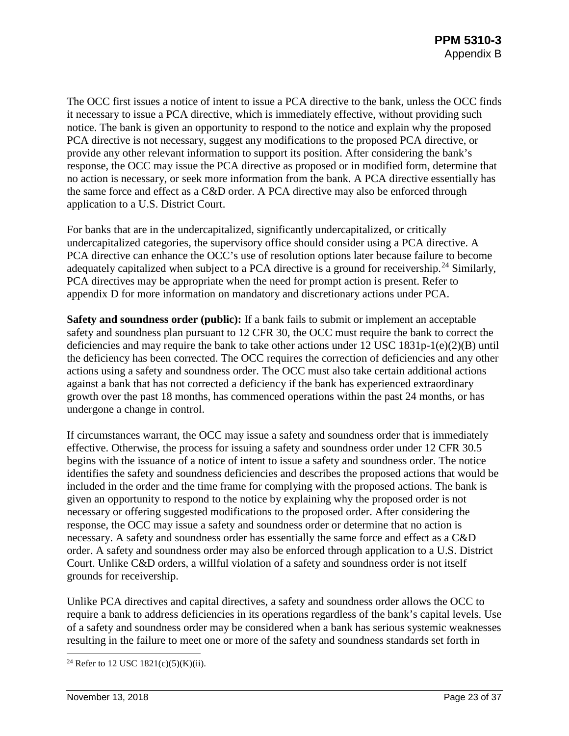The OCC first issues a notice of intent to issue a PCA directive to the bank, unless the OCC finds it necessary to issue a PCA directive, which is immediately effective, without providing such notice. The bank is given an opportunity to respond to the notice and explain why the proposed PCA directive is not necessary, suggest any modifications to the proposed PCA directive, or provide any other relevant information to support its position. After considering the bank's response, the OCC may issue the PCA directive as proposed or in modified form, determine that no action is necessary, or seek more information from the bank. A PCA directive essentially has the same force and effect as a C&D order. A PCA directive may also be enforced through application to a U.S. District Court.

For banks that are in the undercapitalized, significantly undercapitalized, or critically undercapitalized categories, the supervisory office should consider using a PCA directive. A PCA directive can enhance the OCC's use of resolution options later because failure to become adequately capitalized when subject to a PCA directive is a ground for receivership.<sup>[24](#page-22-0)</sup> Similarly, PCA directives may be appropriate when the need for prompt action is present. Refer to appendix D for more information on mandatory and discretionary actions under PCA.

**Safety and soundness order (public):** If a bank fails to submit or implement an acceptable safety and soundness plan pursuant to 12 CFR 30, the OCC must require the bank to correct the deficiencies and may require the bank to take other actions under 12 USC 1831p-1(e)(2)(B) until the deficiency has been corrected. The OCC requires the correction of deficiencies and any other actions using a safety and soundness order. The OCC must also take certain additional actions against a bank that has not corrected a deficiency if the bank has experienced extraordinary growth over the past 18 months, has commenced operations within the past 24 months, or has undergone a change in control.

If circumstances warrant, the OCC may issue a safety and soundness order that is immediately effective. Otherwise, the process for issuing a safety and soundness order under 12 CFR 30.5 begins with the issuance of a notice of intent to issue a safety and soundness order. The notice identifies the safety and soundness deficiencies and describes the proposed actions that would be included in the order and the time frame for complying with the proposed actions. The bank is given an opportunity to respond to the notice by explaining why the proposed order is not necessary or offering suggested modifications to the proposed order. After considering the response, the OCC may issue a safety and soundness order or determine that no action is necessary. A safety and soundness order has essentially the same force and effect as a C&D order. A safety and soundness order may also be enforced through application to a U.S. District Court. Unlike C&D orders, a willful violation of a safety and soundness order is not itself grounds for receivership.

Unlike PCA directives and capital directives, a safety and soundness order allows the OCC to require a bank to address deficiencies in its operations regardless of the bank's capital levels. Use of a safety and soundness order may be considered when a bank has serious systemic weaknesses resulting in the failure to meet one or more of the safety and soundness standards set forth in

<span id="page-22-0"></span><sup>&</sup>lt;sup>24</sup> Refer to 12 USC 1821(c)(5)(K)(ii).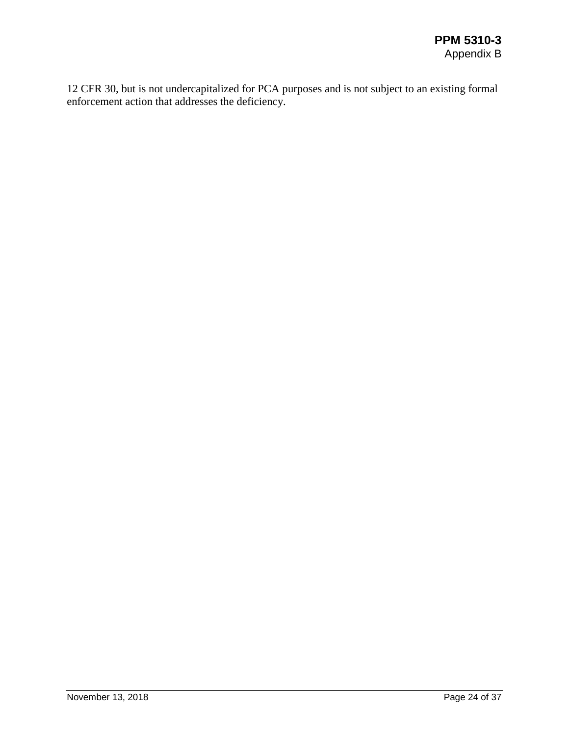12 CFR 30, but is not undercapitalized for PCA purposes and is not subject to an existing formal enforcement action that addresses the deficiency.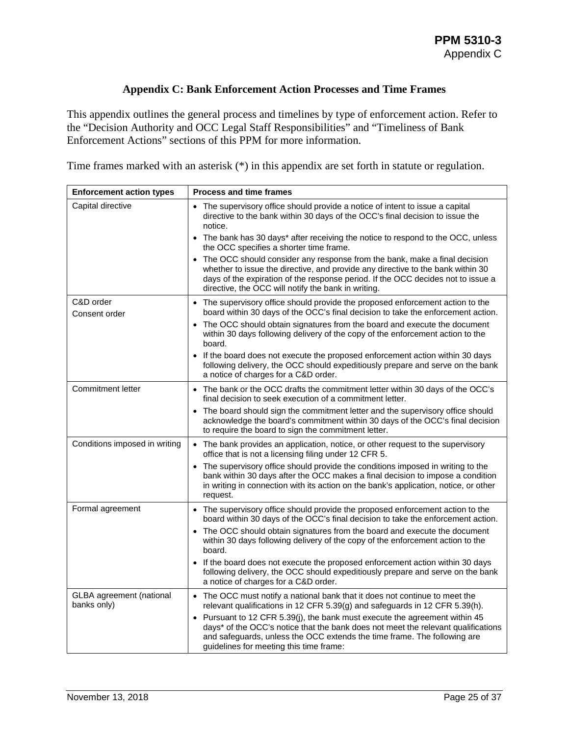## **Appendix C: Bank Enforcement Action Processes and Time Frames**

<span id="page-24-0"></span>This appendix outlines the general process and timelines by type of enforcement action. Refer to the "Decision Authority and OCC Legal Staff Responsibilities" and "Timeliness of Bank Enforcement Actions" sections of this PPM for more information.

Time frames marked with an asterisk (\*) in this appendix are set forth in statute or regulation.

| <b>Enforcement action types</b>                | <b>Process and time frames</b>                                                                                                                                                                                                                                                                          |
|------------------------------------------------|---------------------------------------------------------------------------------------------------------------------------------------------------------------------------------------------------------------------------------------------------------------------------------------------------------|
| Capital directive                              | • The supervisory office should provide a notice of intent to issue a capital<br>directive to the bank within 30 days of the OCC's final decision to issue the<br>notice.                                                                                                                               |
|                                                | • The bank has 30 days* after receiving the notice to respond to the OCC, unless<br>the OCC specifies a shorter time frame.                                                                                                                                                                             |
|                                                | The OCC should consider any response from the bank, make a final decision<br>whether to issue the directive, and provide any directive to the bank within 30<br>days of the expiration of the response period. If the OCC decides not to issue a<br>directive, the OCC will notify the bank in writing. |
| C&D order<br>Consent order                     | • The supervisory office should provide the proposed enforcement action to the<br>board within 30 days of the OCC's final decision to take the enforcement action.                                                                                                                                      |
|                                                | • The OCC should obtain signatures from the board and execute the document<br>within 30 days following delivery of the copy of the enforcement action to the<br>board.                                                                                                                                  |
|                                                | If the board does not execute the proposed enforcement action within 30 days<br>$\bullet$<br>following delivery, the OCC should expeditiously prepare and serve on the bank<br>a notice of charges for a C&D order.                                                                                     |
| <b>Commitment letter</b>                       | • The bank or the OCC drafts the commitment letter within 30 days of the OCC's<br>final decision to seek execution of a commitment letter.                                                                                                                                                              |
|                                                | • The board should sign the commitment letter and the supervisory office should<br>acknowledge the board's commitment within 30 days of the OCC's final decision<br>to require the board to sign the commitment letter.                                                                                 |
| Conditions imposed in writing                  | The bank provides an application, notice, or other request to the supervisory<br>$\bullet$<br>office that is not a licensing filing under 12 CFR 5.                                                                                                                                                     |
|                                                | • The supervisory office should provide the conditions imposed in writing to the<br>bank within 30 days after the OCC makes a final decision to impose a condition<br>in writing in connection with its action on the bank's application, notice, or other<br>request.                                  |
| Formal agreement                               | • The supervisory office should provide the proposed enforcement action to the<br>board within 30 days of the OCC's final decision to take the enforcement action.                                                                                                                                      |
|                                                | The OCC should obtain signatures from the board and execute the document<br>within 30 days following delivery of the copy of the enforcement action to the<br>board.                                                                                                                                    |
|                                                | • If the board does not execute the proposed enforcement action within 30 days<br>following delivery, the OCC should expeditiously prepare and serve on the bank<br>a notice of charges for a C&D order.                                                                                                |
| <b>GLBA</b> agreement (national<br>banks only) | • The OCC must notify a national bank that it does not continue to meet the<br>relevant qualifications in 12 CFR 5.39(g) and safeguards in 12 CFR 5.39(h).                                                                                                                                              |
|                                                | Pursuant to 12 CFR 5.39(j), the bank must execute the agreement within 45<br>days* of the OCC's notice that the bank does not meet the relevant qualifications<br>and safeguards, unless the OCC extends the time frame. The following are<br>guidelines for meeting this time frame:                   |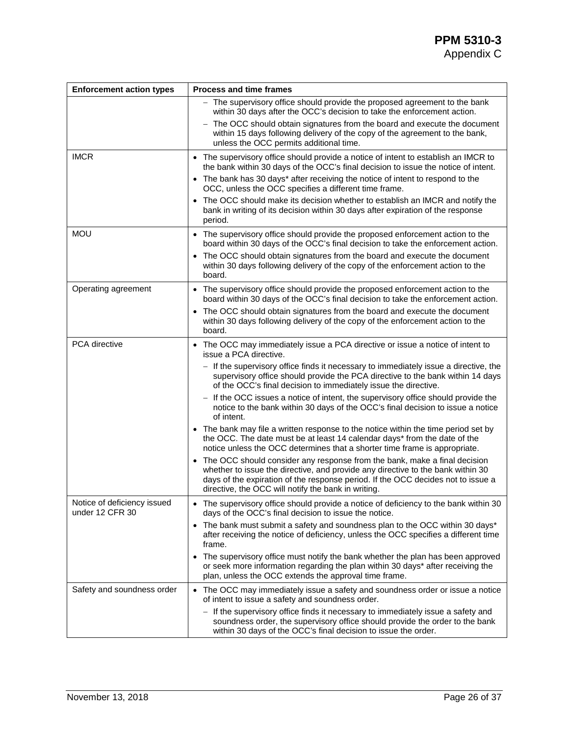| <b>Enforcement action types</b>                | <b>Process and time frames</b>                                                                                                                                                                                                                                                                          |
|------------------------------------------------|---------------------------------------------------------------------------------------------------------------------------------------------------------------------------------------------------------------------------------------------------------------------------------------------------------|
|                                                | The supervisory office should provide the proposed agreement to the bank<br>within 30 days after the OCC's decision to take the enforcement action.                                                                                                                                                     |
|                                                | The OCC should obtain signatures from the board and execute the document<br>within 15 days following delivery of the copy of the agreement to the bank,<br>unless the OCC permits additional time.                                                                                                      |
| <b>IMCR</b>                                    | • The supervisory office should provide a notice of intent to establish an IMCR to<br>the bank within 30 days of the OCC's final decision to issue the notice of intent.                                                                                                                                |
|                                                | The bank has 30 days* after receiving the notice of intent to respond to the<br>OCC, unless the OCC specifies a different time frame.                                                                                                                                                                   |
|                                                | • The OCC should make its decision whether to establish an IMCR and notify the<br>bank in writing of its decision within 30 days after expiration of the response<br>period.                                                                                                                            |
| <b>MOU</b>                                     | • The supervisory office should provide the proposed enforcement action to the<br>board within 30 days of the OCC's final decision to take the enforcement action.                                                                                                                                      |
|                                                | • The OCC should obtain signatures from the board and execute the document<br>within 30 days following delivery of the copy of the enforcement action to the<br>board.                                                                                                                                  |
| Operating agreement                            | • The supervisory office should provide the proposed enforcement action to the<br>board within 30 days of the OCC's final decision to take the enforcement action.                                                                                                                                      |
|                                                | The OCC should obtain signatures from the board and execute the document<br>$\bullet$<br>within 30 days following delivery of the copy of the enforcement action to the<br>board.                                                                                                                       |
| PCA directive                                  | The OCC may immediately issue a PCA directive or issue a notice of intent to<br>$\bullet$<br>issue a PCA directive.                                                                                                                                                                                     |
|                                                | - If the supervisory office finds it necessary to immediately issue a directive, the<br>supervisory office should provide the PCA directive to the bank within 14 days<br>of the OCC's final decision to immediately issue the directive.                                                               |
|                                                | If the OCC issues a notice of intent, the supervisory office should provide the<br>notice to the bank within 30 days of the OCC's final decision to issue a notice<br>of intent.                                                                                                                        |
|                                                | • The bank may file a written response to the notice within the time period set by<br>the OCC. The date must be at least 14 calendar days* from the date of the<br>notice unless the OCC determines that a shorter time frame is appropriate.                                                           |
|                                                | The OCC should consider any response from the bank, make a final decision<br>whether to issue the directive, and provide any directive to the bank within 30<br>days of the expiration of the response period. If the OCC decides not to issue a<br>directive, the OCC will notify the bank in writing. |
| Notice of deficiency issued<br>under 12 CFR 30 | • The supervisory office should provide a notice of deficiency to the bank within 30<br>days of the OCC's final decision to issue the notice.                                                                                                                                                           |
|                                                | • The bank must submit a safety and soundness plan to the OCC within 30 days*<br>after receiving the notice of deficiency, unless the OCC specifies a different time<br>frame.                                                                                                                          |
|                                                | The supervisory office must notify the bank whether the plan has been approved<br>$\bullet$<br>or seek more information regarding the plan within 30 days* after receiving the<br>plan, unless the OCC extends the approval time frame.                                                                 |
| Safety and soundness order                     | The OCC may immediately issue a safety and soundness order or issue a notice<br>of intent to issue a safety and soundness order.                                                                                                                                                                        |
|                                                | - If the supervisory office finds it necessary to immediately issue a safety and<br>soundness order, the supervisory office should provide the order to the bank<br>within 30 days of the OCC's final decision to issue the order.                                                                      |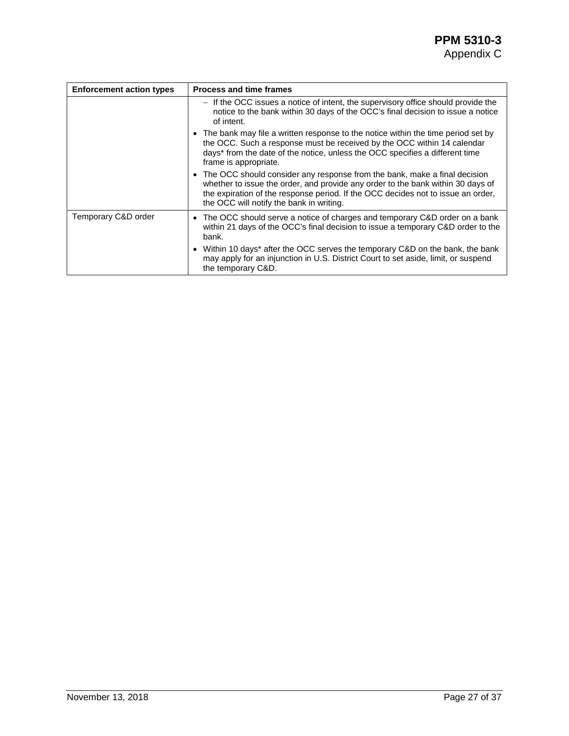| <b>Enforcement action types</b> | <b>Process and time frames</b>                                                                                                                                                                                                                                                                 |  |
|---------------------------------|------------------------------------------------------------------------------------------------------------------------------------------------------------------------------------------------------------------------------------------------------------------------------------------------|--|
|                                 | - If the OCC issues a notice of intent, the supervisory office should provide the<br>notice to the bank within 30 days of the OCC's final decision to issue a notice<br>of intent.                                                                                                             |  |
|                                 | • The bank may file a written response to the notice within the time period set by<br>the OCC. Such a response must be received by the OCC within 14 calendar<br>days* from the date of the notice, unless the OCC specifies a different time<br>frame is appropriate.                         |  |
|                                 | • The OCC should consider any response from the bank, make a final decision<br>whether to issue the order, and provide any order to the bank within 30 days of<br>the expiration of the response period. If the OCC decides not to issue an order,<br>the OCC will notify the bank in writing. |  |
| Temporary C&D order             | • The OCC should serve a notice of charges and temporary C&D order on a bank<br>within 21 days of the OCC's final decision to issue a temporary C&D order to the<br>bank.                                                                                                                      |  |
|                                 | • Within 10 days* after the OCC serves the temporary C&D on the bank, the bank<br>may apply for an injunction in U.S. District Court to set aside, limit, or suspend<br>the temporary C&D.                                                                                                     |  |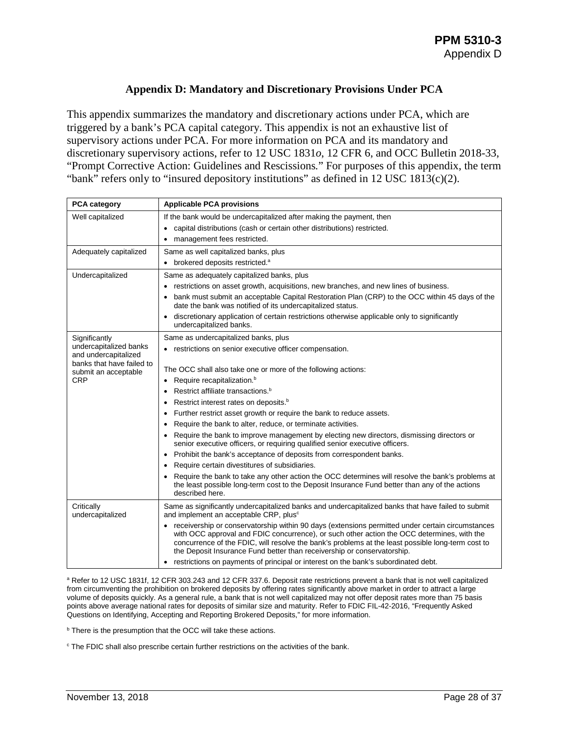#### **Appendix D: Mandatory and Discretionary Provisions Under PCA**

<span id="page-27-0"></span>This appendix summarizes the mandatory and discretionary actions under PCA, which are triggered by a bank's PCA capital category. This appendix is not an exhaustive list of supervisory actions under PCA. For more information on PCA and its mandatory and discretionary supervisory actions, refer to 12 USC 1831*o*, 12 CFR 6, and OCC Bulletin 2018-33, "Prompt Corrective Action: Guidelines and Rescissions*.*" For purposes of this appendix, the term "bank" refers only to "insured depository institutions" as defined in 12 USC 1813(c)(2).

| <b>PCA category</b>                               | <b>Applicable PCA provisions</b>                                                                                                                                                                                                                                                                                                                                                 |
|---------------------------------------------------|----------------------------------------------------------------------------------------------------------------------------------------------------------------------------------------------------------------------------------------------------------------------------------------------------------------------------------------------------------------------------------|
| Well capitalized                                  | If the bank would be undercapitalized after making the payment, then                                                                                                                                                                                                                                                                                                             |
|                                                   | capital distributions (cash or certain other distributions) restricted.                                                                                                                                                                                                                                                                                                          |
|                                                   | management fees restricted.<br>٠                                                                                                                                                                                                                                                                                                                                                 |
| Adequately capitalized                            | Same as well capitalized banks, plus                                                                                                                                                                                                                                                                                                                                             |
|                                                   | • brokered deposits restricted. <sup>a</sup>                                                                                                                                                                                                                                                                                                                                     |
| Undercapitalized                                  | Same as adequately capitalized banks, plus                                                                                                                                                                                                                                                                                                                                       |
|                                                   | restrictions on asset growth, acquisitions, new branches, and new lines of business.                                                                                                                                                                                                                                                                                             |
|                                                   | bank must submit an acceptable Capital Restoration Plan (CRP) to the OCC within 45 days of the<br>date the bank was notified of its undercapitalized status.                                                                                                                                                                                                                     |
|                                                   | discretionary application of certain restrictions otherwise applicable only to significantly<br>undercapitalized banks.                                                                                                                                                                                                                                                          |
| Significantly                                     | Same as undercapitalized banks, plus                                                                                                                                                                                                                                                                                                                                             |
| undercapitalized banks<br>and undercapitalized    | • restrictions on senior executive officer compensation.                                                                                                                                                                                                                                                                                                                         |
| banks that have failed to<br>submit an acceptable | The OCC shall also take one or more of the following actions:                                                                                                                                                                                                                                                                                                                    |
| <b>CRP</b>                                        | Require recapitalization. <sup>b</sup><br>٠                                                                                                                                                                                                                                                                                                                                      |
|                                                   | Restrict affiliate transactions. <sup>b</sup>                                                                                                                                                                                                                                                                                                                                    |
|                                                   | Restrict interest rates on deposits. <sup>b</sup>                                                                                                                                                                                                                                                                                                                                |
|                                                   | Further restrict asset growth or require the bank to reduce assets.                                                                                                                                                                                                                                                                                                              |
|                                                   | Require the bank to alter, reduce, or terminate activities.                                                                                                                                                                                                                                                                                                                      |
|                                                   | Require the bank to improve management by electing new directors, dismissing directors or<br>senior executive officers, or requiring qualified senior executive officers.                                                                                                                                                                                                        |
|                                                   | Prohibit the bank's acceptance of deposits from correspondent banks.<br>$\bullet$                                                                                                                                                                                                                                                                                                |
|                                                   | Require certain divestitures of subsidiaries.<br>٠                                                                                                                                                                                                                                                                                                                               |
|                                                   | Require the bank to take any other action the OCC determines will resolve the bank's problems at<br>the least possible long-term cost to the Deposit Insurance Fund better than any of the actions<br>described here.                                                                                                                                                            |
| Critically<br>undercapitalized                    | Same as significantly undercapitalized banks and undercapitalized banks that have failed to submit<br>and implement an acceptable CRP, plus <sup>c</sup>                                                                                                                                                                                                                         |
|                                                   | • receivership or conservatorship within 90 days (extensions permitted under certain circumstances<br>with OCC approval and FDIC concurrence), or such other action the OCC determines, with the<br>concurrence of the FDIC, will resolve the bank's problems at the least possible long-term cost to<br>the Deposit Insurance Fund better than receivership or conservatorship. |
|                                                   | restrictions on payments of principal or interest on the bank's subordinated debt.                                                                                                                                                                                                                                                                                               |

a Refer to 12 USC 1831f, 12 CFR 303.243 and 12 CFR 337.6. Deposit rate restrictions prevent a bank that is not well capitalized from circumventing the prohibition on brokered deposits by offering rates significantly above market in order to attract a large volume of deposits quickly. As a general rule, a bank that is not well capitalized may not offer deposit rates more than 75 basis points above average national rates for deposits of similar size and maturity. Refer to FDIC FIL-42-2016, "Frequently Asked Questions on Identifying, Accepting and Reporting Brokered Deposits," for more information.

**b** There is the presumption that the OCC will take these actions.

<sup>c</sup> The FDIC shall also prescribe certain further restrictions on the activities of the bank.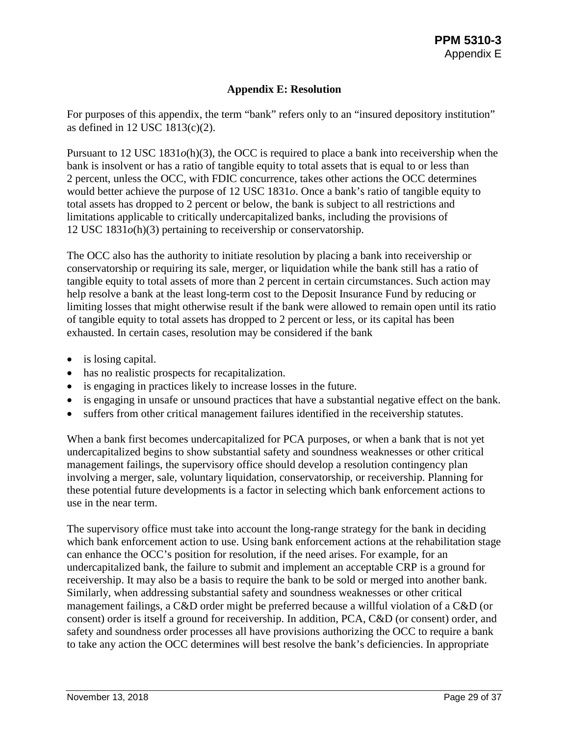## **Appendix E: Resolution**

<span id="page-28-0"></span>For purposes of this appendix, the term "bank" refers only to an "insured depository institution" as defined in 12 USC 1813(c)(2).

Pursuant to 12 USC 1831*o*(h)(3), the OCC is required to place a bank into receivership when the bank is insolvent or has a ratio of tangible equity to total assets that is equal to or less than 2 percent, unless the OCC, with FDIC concurrence, takes other actions the OCC determines would better achieve the purpose of 12 USC 1831*o*. Once a bank's ratio of tangible equity to total assets has dropped to 2 percent or below, the bank is subject to all restrictions and limitations applicable to critically undercapitalized banks, including the provisions of 12 USC 1831*o*(h)(3) pertaining to receivership or conservatorship.

The OCC also has the authority to initiate resolution by placing a bank into receivership or conservatorship or requiring its sale, merger, or liquidation while the bank still has a ratio of tangible equity to total assets of more than 2 percent in certain circumstances. Such action may help resolve a bank at the least long-term cost to the Deposit Insurance Fund by reducing or limiting losses that might otherwise result if the bank were allowed to remain open until its ratio of tangible equity to total assets has dropped to 2 percent or less, or its capital has been exhausted. In certain cases, resolution may be considered if the bank

- is losing capital.
- has no realistic prospects for recapitalization.
- is engaging in practices likely to increase losses in the future.
- is engaging in unsafe or unsound practices that have a substantial negative effect on the bank.
- suffers from other critical management failures identified in the receivership statutes.

When a bank first becomes undercapitalized for PCA purposes, or when a bank that is not yet undercapitalized begins to show substantial safety and soundness weaknesses or other critical management failings, the supervisory office should develop a resolution contingency plan involving a merger, sale, voluntary liquidation, conservatorship, or receivership. Planning for these potential future developments is a factor in selecting which bank enforcement actions to use in the near term.

The supervisory office must take into account the long-range strategy for the bank in deciding which bank enforcement action to use. Using bank enforcement actions at the rehabilitation stage can enhance the OCC's position for resolution, if the need arises. For example, for an undercapitalized bank, the failure to submit and implement an acceptable CRP is a ground for receivership. It may also be a basis to require the bank to be sold or merged into another bank. Similarly, when addressing substantial safety and soundness weaknesses or other critical management failings, a C&D order might be preferred because a willful violation of a C&D (or consent) order is itself a ground for receivership. In addition, PCA, C&D (or consent) order, and safety and soundness order processes all have provisions authorizing the OCC to require a bank to take any action the OCC determines will best resolve the bank's deficiencies. In appropriate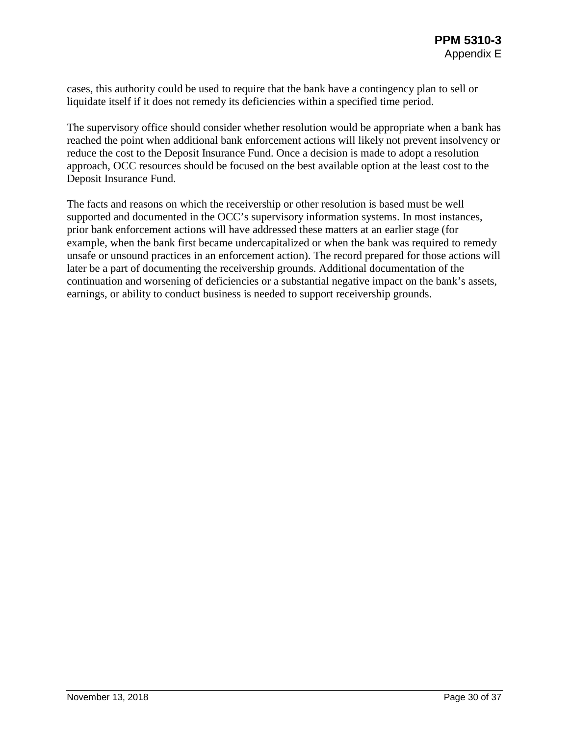cases, this authority could be used to require that the bank have a contingency plan to sell or liquidate itself if it does not remedy its deficiencies within a specified time period.

The supervisory office should consider whether resolution would be appropriate when a bank has reached the point when additional bank enforcement actions will likely not prevent insolvency or reduce the cost to the Deposit Insurance Fund. Once a decision is made to adopt a resolution approach, OCC resources should be focused on the best available option at the least cost to the Deposit Insurance Fund.

The facts and reasons on which the receivership or other resolution is based must be well supported and documented in the OCC's supervisory information systems. In most instances, prior bank enforcement actions will have addressed these matters at an earlier stage (for example, when the bank first became undercapitalized or when the bank was required to remedy unsafe or unsound practices in an enforcement action). The record prepared for those actions will later be a part of documenting the receivership grounds. Additional documentation of the continuation and worsening of deficiencies or a substantial negative impact on the bank's assets, earnings, or ability to conduct business is needed to support receivership grounds.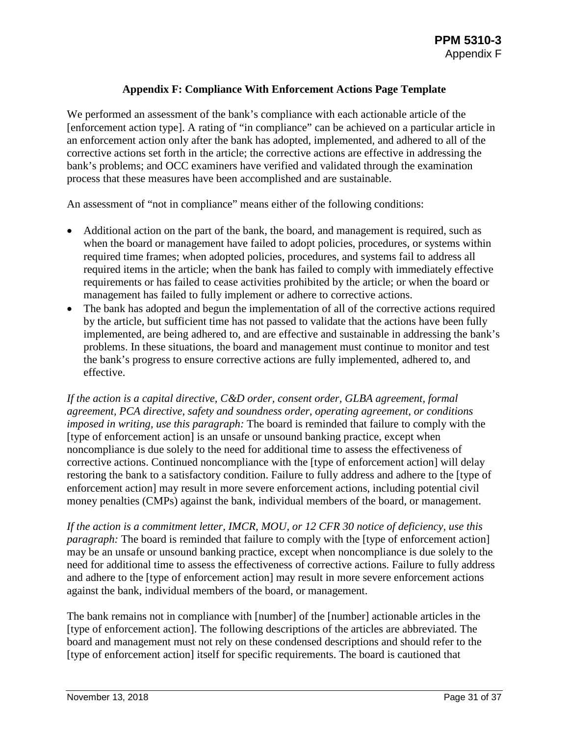## **Appendix F: Compliance With Enforcement Actions Page Template**

<span id="page-30-0"></span>We performed an assessment of the bank's compliance with each actionable article of the [enforcement action type]. A rating of "in compliance" can be achieved on a particular article in an enforcement action only after the bank has adopted, implemented, and adhered to all of the corrective actions set forth in the article; the corrective actions are effective in addressing the bank's problems; and OCC examiners have verified and validated through the examination process that these measures have been accomplished and are sustainable.

An assessment of "not in compliance" means either of the following conditions:

- Additional action on the part of the bank, the board, and management is required, such as when the board or management have failed to adopt policies, procedures, or systems within required time frames; when adopted policies, procedures, and systems fail to address all required items in the article; when the bank has failed to comply with immediately effective requirements or has failed to cease activities prohibited by the article; or when the board or management has failed to fully implement or adhere to corrective actions.
- The bank has adopted and begun the implementation of all of the corrective actions required by the article, but sufficient time has not passed to validate that the actions have been fully implemented, are being adhered to, and are effective and sustainable in addressing the bank's problems. In these situations, the board and management must continue to monitor and test the bank's progress to ensure corrective actions are fully implemented, adhered to, and effective.

*If the action is a capital directive, C&D order, consent order, GLBA agreement, formal agreement, PCA directive, safety and soundness order, operating agreement, or conditions imposed in writing, use this paragraph:* The board is reminded that failure to comply with the [type of enforcement action] is an unsafe or unsound banking practice, except when noncompliance is due solely to the need for additional time to assess the effectiveness of corrective actions. Continued noncompliance with the [type of enforcement action] will delay restoring the bank to a satisfactory condition. Failure to fully address and adhere to the [type of enforcement action] may result in more severe enforcement actions, including potential civil money penalties (CMPs) against the bank, individual members of the board, or management.

*If the action is a commitment letter, IMCR, MOU, or 12 CFR 30 notice of deficiency, use this paragraph:* The board is reminded that failure to comply with the [type of enforcement action] may be an unsafe or unsound banking practice, except when noncompliance is due solely to the need for additional time to assess the effectiveness of corrective actions. Failure to fully address and adhere to the [type of enforcement action] may result in more severe enforcement actions against the bank, individual members of the board, or management.

The bank remains not in compliance with [number] of the [number] actionable articles in the [type of enforcement action]. The following descriptions of the articles are abbreviated. The board and management must not rely on these condensed descriptions and should refer to the [type of enforcement action] itself for specific requirements. The board is cautioned that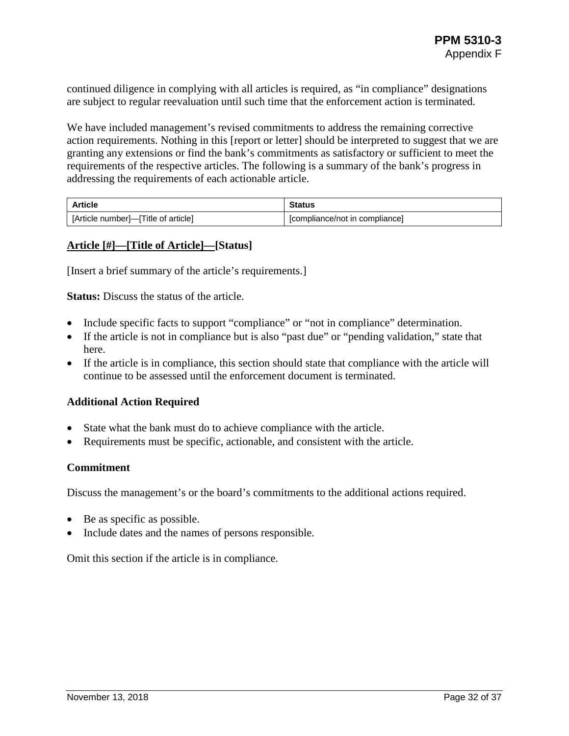continued diligence in complying with all articles is required, as "in compliance" designations are subject to regular reevaluation until such time that the enforcement action is terminated.

We have included management's revised commitments to address the remaining corrective action requirements. Nothing in this [report or letter] should be interpreted to suggest that we are granting any extensions or find the bank's commitments as satisfactory or sufficient to meet the requirements of the respective articles. The following is a summary of the bank's progress in addressing the requirements of each actionable article.

| <b>Article</b>                      | <b>Status</b>                  |
|-------------------------------------|--------------------------------|
| [Article number]-[Title of article] | [compliance/not in compliance] |

#### **Article [#]—[Title of Article]—[Status]**

[Insert a brief summary of the article's requirements.]

**Status:** Discuss the status of the article.

- Include specific facts to support "compliance" or "not in compliance" determination.
- If the article is not in compliance but is also "past due" or "pending validation," state that here.
- If the article is in compliance, this section should state that compliance with the article will continue to be assessed until the enforcement document is terminated.

#### **Additional Action Required**

- State what the bank must do to achieve compliance with the article.
- Requirements must be specific, actionable, and consistent with the article.

#### **Commitment**

Discuss the management's or the board's commitments to the additional actions required.

- Be as specific as possible.
- Include dates and the names of persons responsible.

Omit this section if the article is in compliance.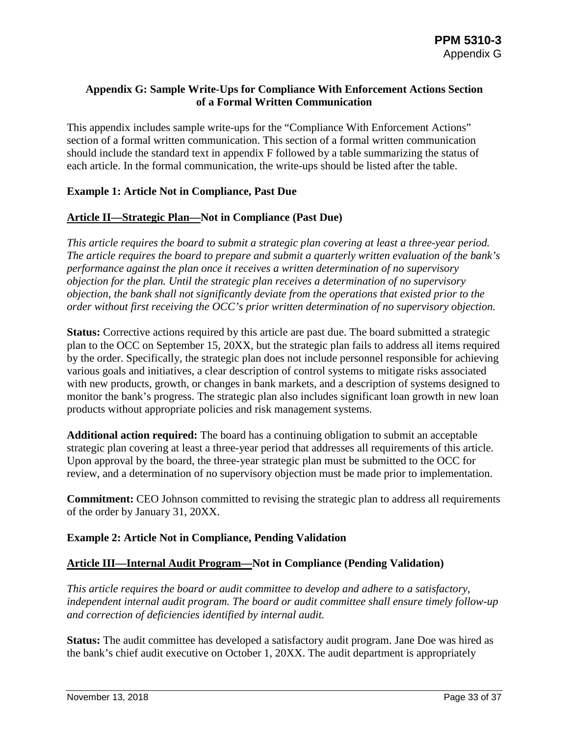## <span id="page-32-0"></span>**Appendix G: Sample Write-Ups for Compliance With Enforcement Actions Section of a Formal Written Communication**

This appendix includes sample write-ups for the "Compliance With Enforcement Actions" section of a formal written communication. This section of a formal written communication should include the standard text in appendix F followed by a table summarizing the status of each article. In the formal communication, the write-ups should be listed after the table.

## **Example 1: Article Not in Compliance, Past Due**

## **Article II—Strategic Plan—Not in Compliance (Past Due)**

*This article requires the board to submit a strategic plan covering at least a three-year period. The article requires the board to prepare and submit a quarterly written evaluation of the bank's performance against the plan once it receives a written determination of no supervisory objection for the plan. Until the strategic plan receives a determination of no supervisory objection, the bank shall not significantly deviate from the operations that existed prior to the order without first receiving the OCC's prior written determination of no supervisory objection.*

**Status:** Corrective actions required by this article are past due. The board submitted a strategic plan to the OCC on September 15, 20XX, but the strategic plan fails to address all items required by the order. Specifically, the strategic plan does not include personnel responsible for achieving various goals and initiatives, a clear description of control systems to mitigate risks associated with new products, growth, or changes in bank markets, and a description of systems designed to monitor the bank's progress. The strategic plan also includes significant loan growth in new loan products without appropriate policies and risk management systems.

**Additional action required:** The board has a continuing obligation to submit an acceptable strategic plan covering at least a three-year period that addresses all requirements of this article. Upon approval by the board, the three-year strategic plan must be submitted to the OCC for review, and a determination of no supervisory objection must be made prior to implementation.

**Commitment:** CEO Johnson committed to revising the strategic plan to address all requirements of the order by January 31, 20XX.

## **Example 2: Article Not in Compliance, Pending Validation**

## **Article III—Internal Audit Program—Not in Compliance (Pending Validation)**

*This article requires the board or audit committee to develop and adhere to a satisfactory, independent internal audit program. The board or audit committee shall ensure timely follow-up and correction of deficiencies identified by internal audit.*

**Status:** The audit committee has developed a satisfactory audit program. Jane Doe was hired as the bank's chief audit executive on October 1, 20XX. The audit department is appropriately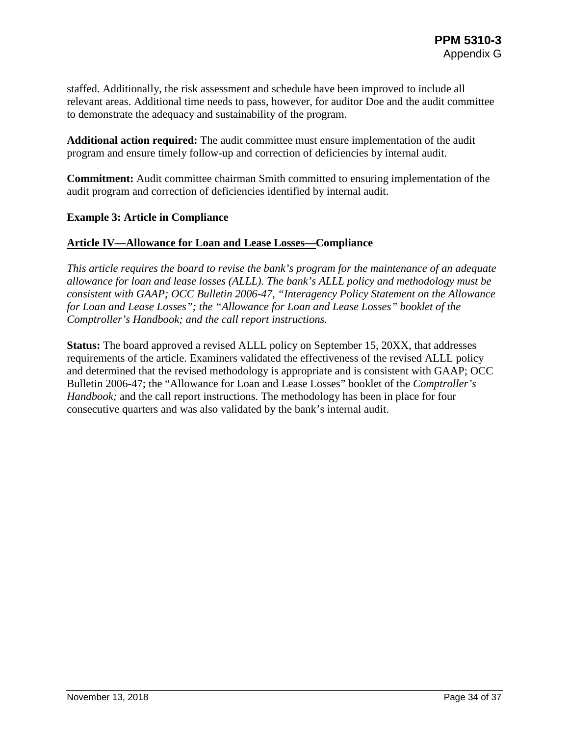staffed. Additionally, the risk assessment and schedule have been improved to include all relevant areas. Additional time needs to pass, however, for auditor Doe and the audit committee to demonstrate the adequacy and sustainability of the program.

**Additional action required:** The audit committee must ensure implementation of the audit program and ensure timely follow-up and correction of deficiencies by internal audit.

**Commitment:** Audit committee chairman Smith committed to ensuring implementation of the audit program and correction of deficiencies identified by internal audit.

#### **Example 3: Article in Compliance**

#### **Article IV—Allowance for Loan and Lease Losses—Compliance**

*This article requires the board to revise the bank's program for the maintenance of an adequate allowance for loan and lease losses (ALLL). The bank's ALLL policy and methodology must be consistent with GAAP; OCC Bulletin 2006-47, "Interagency Policy Statement on the Allowance for Loan and Lease Losses"; the "Allowance for Loan and Lease Losses" booklet of the Comptroller's Handbook; and the call report instructions.*

**Status:** The board approved a revised ALLL policy on September 15, 20XX, that addresses requirements of the article. Examiners validated the effectiveness of the revised ALLL policy and determined that the revised methodology is appropriate and is consistent with GAAP; OCC Bulletin 2006-47; the "Allowance for Loan and Lease Losses" booklet of the *Comptroller's Handbook;* and the call report instructions. The methodology has been in place for four consecutive quarters and was also validated by the bank's internal audit.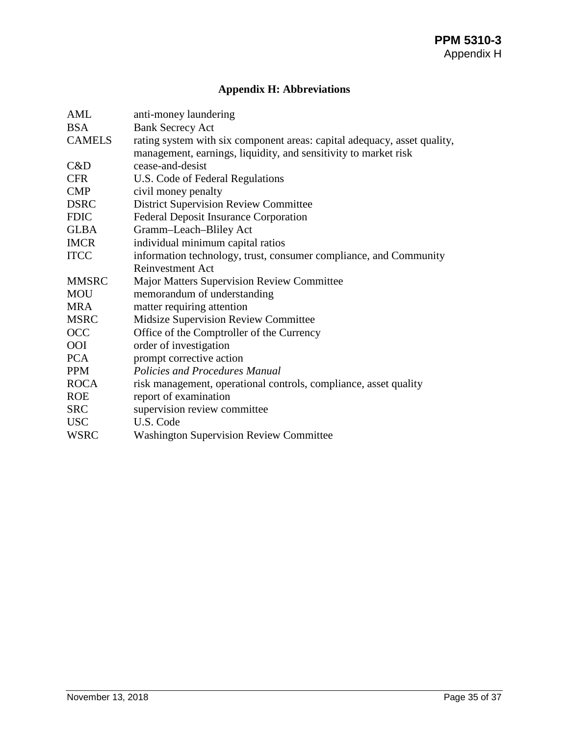## **Appendix H: Abbreviations**

<span id="page-34-0"></span>

| AML           | anti-money laundering                                                    |
|---------------|--------------------------------------------------------------------------|
| <b>BSA</b>    | <b>Bank Secrecy Act</b>                                                  |
| <b>CAMELS</b> | rating system with six component areas: capital adequacy, asset quality, |
|               | management, earnings, liquidity, and sensitivity to market risk          |
| C&D           | cease-and-desist                                                         |
| <b>CFR</b>    | U.S. Code of Federal Regulations                                         |
| <b>CMP</b>    | civil money penalty                                                      |
| <b>DSRC</b>   | <b>District Supervision Review Committee</b>                             |
| <b>FDIC</b>   | <b>Federal Deposit Insurance Corporation</b>                             |
| <b>GLBA</b>   | Gramm-Leach-Bliley Act                                                   |
| <b>IMCR</b>   | individual minimum capital ratios                                        |
| <b>ITCC</b>   | information technology, trust, consumer compliance, and Community        |
|               | Reinvestment Act                                                         |
| <b>MMSRC</b>  | <b>Major Matters Supervision Review Committee</b>                        |
| <b>MOU</b>    | memorandum of understanding                                              |
| <b>MRA</b>    | matter requiring attention                                               |
| <b>MSRC</b>   | <b>Midsize Supervision Review Committee</b>                              |
| <b>OCC</b>    | Office of the Comptroller of the Currency                                |
| <b>OOI</b>    | order of investigation                                                   |
| <b>PCA</b>    | prompt corrective action                                                 |
| <b>PPM</b>    | Policies and Procedures Manual                                           |
| <b>ROCA</b>   | risk management, operational controls, compliance, asset quality         |
| <b>ROE</b>    | report of examination                                                    |
| <b>SRC</b>    | supervision review committee                                             |
| <b>USC</b>    | U.S. Code                                                                |
| <b>WSRC</b>   | <b>Washington Supervision Review Committee</b>                           |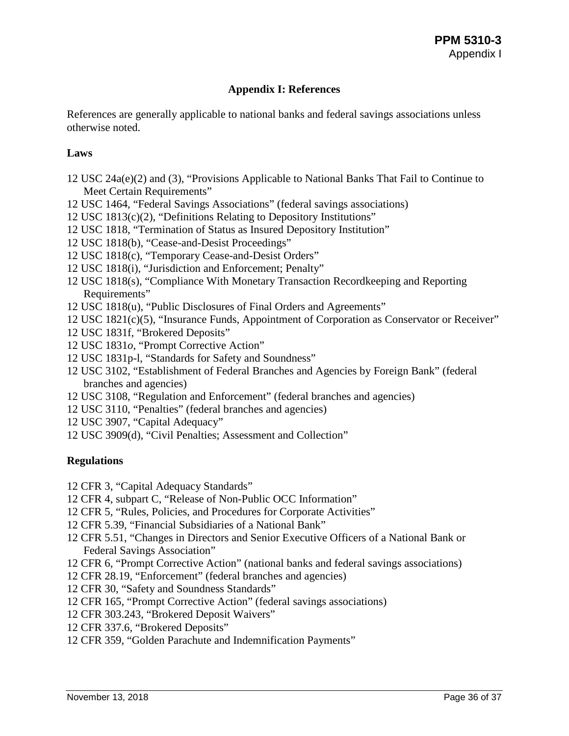## **Appendix I: References**

<span id="page-35-0"></span>References are generally applicable to national banks and federal savings associations unless otherwise noted.

## **Laws**

- 12 USC 24a(e)(2) and (3), "Provisions Applicable to National Banks That Fail to Continue to Meet Certain Requirements"
- 12 USC 1464, "Federal Savings Associations" (federal savings associations)
- 12 USC 1813(c)(2), "Definitions Relating to Depository Institutions"
- 12 USC 1818, "Termination of Status as Insured Depository Institution"
- 12 USC 1818(b), "Cease-and-Desist Proceedings"
- 12 USC 1818(c), "Temporary Cease-and-Desist Orders"
- 12 USC 1818(i), "Jurisdiction and Enforcement; Penalty"
- 12 USC 1818(s), "Compliance With Monetary Transaction Recordkeeping and Reporting Requirements"
- 12 USC 1818(u), "Public Disclosures of Final Orders and Agreements"
- 12 USC 1821(c)(5), "Insurance Funds, Appointment of Corporation as Conservator or Receiver"
- 12 USC 1831f, "Brokered Deposits"
- 12 USC 1831*o*, "Prompt Corrective Action"
- 12 USC 1831p-l, "Standards for Safety and Soundness"
- 12 USC 3102, "Establishment of Federal Branches and Agencies by Foreign Bank" (federal branches and agencies)
- 12 USC 3108, "Regulation and Enforcement" (federal branches and agencies)
- 12 USC 3110, "Penalties" (federal branches and agencies)
- 12 USC 3907, "Capital Adequacy"
- 12 USC 3909(d), "Civil Penalties; Assessment and Collection"

## **Regulations**

- 12 CFR 3, "Capital Adequacy Standards"
- 12 CFR 4, subpart C, "Release of Non-Public OCC Information"
- 12 CFR 5, "Rules, Policies, and Procedures for Corporate Activities"
- 12 CFR 5.39, "Financial Subsidiaries of a National Bank"
- 12 CFR 5.51, "Changes in Directors and Senior Executive Officers of a National Bank or Federal Savings Association"
- 12 CFR 6, "Prompt Corrective Action" (national banks and federal savings associations)
- 12 CFR 28.19, "Enforcement" (federal branches and agencies)
- 12 CFR 30, "Safety and Soundness Standards"
- 12 CFR 165, "Prompt Corrective Action" (federal savings associations)
- 12 CFR 303.243, "Brokered Deposit Waivers"
- 12 CFR 337.6, "Brokered Deposits"
- 12 CFR 359, "Golden Parachute and Indemnification Payments"